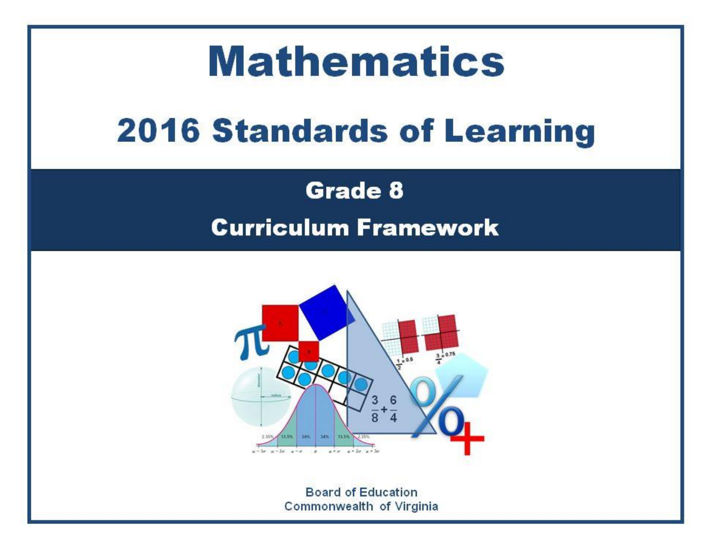# **Mathematics**

# **2016 Standards of Learning**

# Grade 8 **Curriculum Framework**



**Board of Education** Commonwealth of Virginia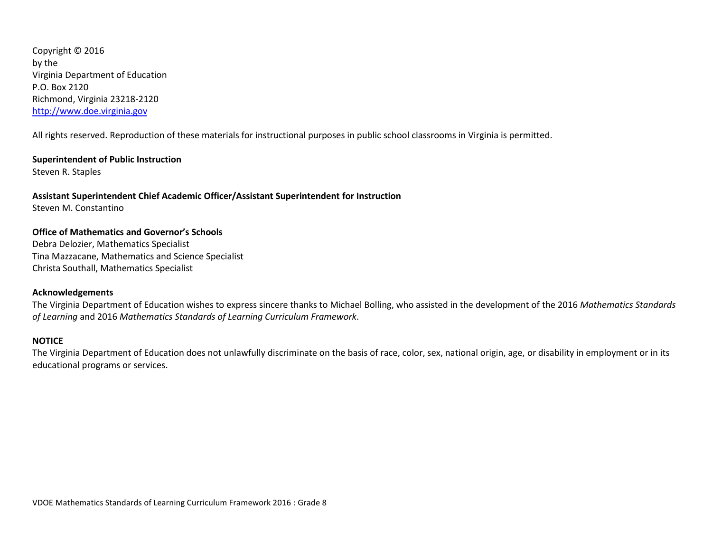Copyright © 2016 by the Virginia Department of Education P.O. Box 2120 Richmond, Virginia 23218-2120 [http://www.doe.virginia.gov](http://doe.virginia.gov/)

All rights reserved. Reproduction of these materials for instructional purposes in public school classrooms in Virginia is permitted.

**Superintendent of Public Instruction** Steven R. Staples

**Assistant Superintendent Chief Academic Officer/Assistant Superintendent for Instruction** Steven M. Constantino

**Office of Mathematics and Governor's Schools** Debra Delozier, Mathematics Specialist Tina Mazzacane, Mathematics and Science Specialist Christa Southall, Mathematics Specialist

# **Acknowledgements**

The Virginia Department of Education wishes to express sincere thanks to Michael Bolling, who assisted in the development of the 2016 *Mathematics Standards of Learning* and 2016 *Mathematics Standards of Learning Curriculum Framework*.

# **NOTICE**

The Virginia Department of Education does not unlawfully discriminate on the basis of race, color, sex, national origin, age, or disability in employment or in its educational programs or services.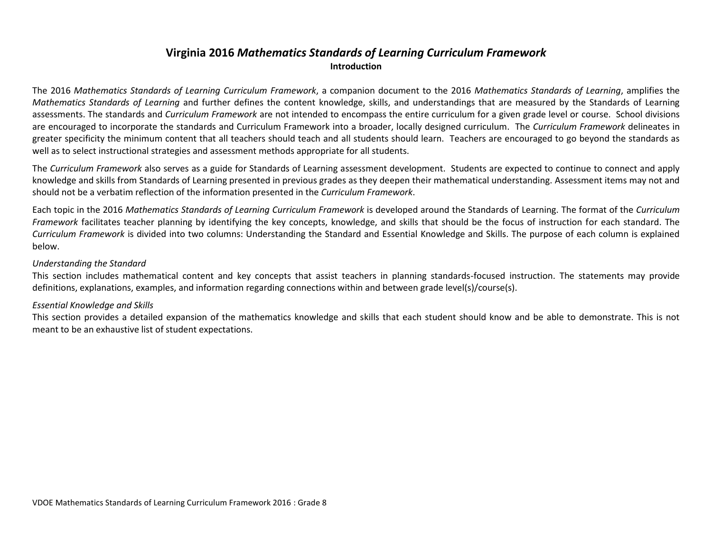# **Virginia 2016** *Mathematics Standards of Learning Curriculum Framework* **Introduction**

The 2016 *Mathematics Standards of Learning Curriculum Framework*, a companion document to the 2016 *Mathematics Standards of Learning*, amplifies the *Mathematics Standards of Learning* and further defines the content knowledge, skills, and understandings that are measured by the Standards of Learning assessments. The standards and *Curriculum Framework* are not intended to encompass the entire curriculum for a given grade level or course. School divisions are encouraged to incorporate the standards and Curriculum Framework into a broader, locally designed curriculum. The *Curriculum Framework* delineates in greater specificity the minimum content that all teachers should teach and all students should learn. Teachers are encouraged to go beyond the standards as well as to select instructional strategies and assessment methods appropriate for all students.

The *Curriculum Framework* also serves as a guide for Standards of Learning assessment development. Students are expected to continue to connect and apply knowledge and skills from Standards of Learning presented in previous grades as they deepen their mathematical understanding. Assessment items may not and should not be a verbatim reflection of the information presented in the *Curriculum Framework*.

Each topic in the 2016 *Mathematics Standards of Learning Curriculum Framework* is developed around the Standards of Learning. The format of the *Curriculum Framework* facilitates teacher planning by identifying the key concepts, knowledge, and skills that should be the focus of instruction for each standard. The *Curriculum Framework* is divided into two columns: Understanding the Standard and Essential Knowledge and Skills. The purpose of each column is explained below.

# *Understanding the Standard*

This section includes mathematical content and key concepts that assist teachers in planning standards-focused instruction. The statements may provide definitions, explanations, examples, and information regarding connections within and between grade level(s)/course(s).

# *Essential Knowledge and Skills*

This section provides a detailed expansion of the mathematics knowledge and skills that each student should know and be able to demonstrate. This is not meant to be an exhaustive list of student expectations.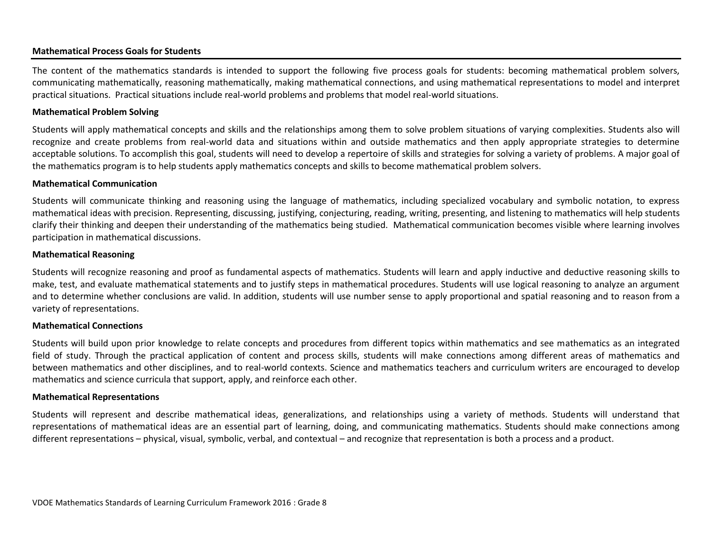# **Mathematical Process Goals for Students**

The content of the mathematics standards is intended to support the following five process goals for students: becoming mathematical problem solvers, communicating mathematically, reasoning mathematically, making mathematical connections, and using mathematical representations to model and interpret practical situations. Practical situations include real-world problems and problems that model real-world situations.

### **Mathematical Problem Solving**

Students will apply mathematical concepts and skills and the relationships among them to solve problem situations of varying complexities. Students also will recognize and create problems from real-world data and situations within and outside mathematics and then apply appropriate strategies to determine acceptable solutions. To accomplish this goal, students will need to develop a repertoire of skills and strategies for solving a variety of problems. A major goal of the mathematics program is to help students apply mathematics concepts and skills to become mathematical problem solvers.

### **Mathematical Communication**

Students will communicate thinking and reasoning using the language of mathematics, including specialized vocabulary and symbolic notation, to express mathematical ideas with precision. Representing, discussing, justifying, conjecturing, reading, writing, presenting, and listening to mathematics will help students clarify their thinking and deepen their understanding of the mathematics being studied. Mathematical communication becomes visible where learning involves participation in mathematical discussions.

# **Mathematical Reasoning**

Students will recognize reasoning and proof as fundamental aspects of mathematics. Students will learn and apply inductive and deductive reasoning skills to make, test, and evaluate mathematical statements and to justify steps in mathematical procedures. Students will use logical reasoning to analyze an argument and to determine whether conclusions are valid. In addition, students will use number sense to apply proportional and spatial reasoning and to reason from a variety of representations.

# **Mathematical Connections**

Students will build upon prior knowledge to relate concepts and procedures from different topics within mathematics and see mathematics as an integrated field of study. Through the practical application of content and process skills, students will make connections among different areas of mathematics and between mathematics and other disciplines, and to real-world contexts. Science and mathematics teachers and curriculum writers are encouraged to develop mathematics and science curricula that support, apply, and reinforce each other.

### **Mathematical Representations**

Students will represent and describe mathematical ideas, generalizations, and relationships using a variety of methods. Students will understand that representations of mathematical ideas are an essential part of learning, doing, and communicating mathematics. Students should make connections among different representations – physical, visual, symbolic, verbal, and contextual – and recognize that representation is both a process and a product.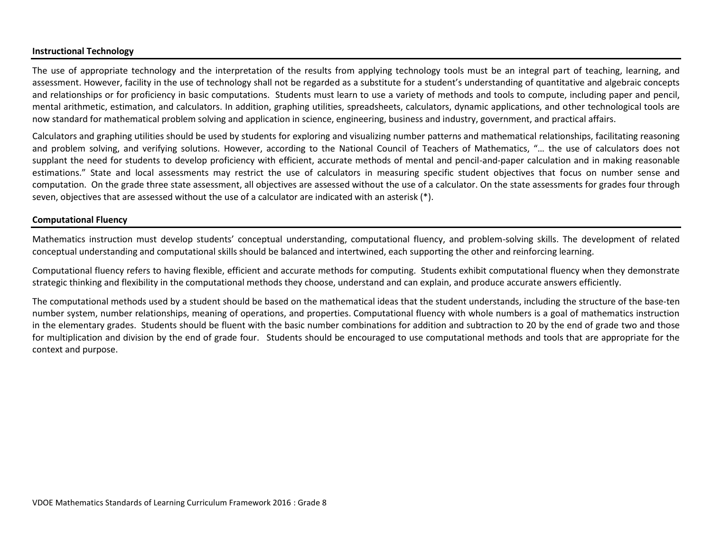# **Instructional Technology**

The use of appropriate technology and the interpretation of the results from applying technology tools must be an integral part of teaching, learning, and assessment. However, facility in the use of technology shall not be regarded as a substitute for a student's understanding of quantitative and algebraic concepts and relationships or for proficiency in basic computations. Students must learn to use a variety of methods and tools to compute, including paper and pencil, mental arithmetic, estimation, and calculators. In addition, graphing utilities, spreadsheets, calculators, dynamic applications, and other technological tools are now standard for mathematical problem solving and application in science, engineering, business and industry, government, and practical affairs.

Calculators and graphing utilities should be used by students for exploring and visualizing number patterns and mathematical relationships, facilitating reasoning and problem solving, and verifying solutions. However, according to the National Council of Teachers of Mathematics, "… the use of calculators does not supplant the need for students to develop proficiency with efficient, accurate methods of mental and pencil-and-paper calculation and in making reasonable estimations." State and local assessments may restrict the use of calculators in measuring specific student objectives that focus on number sense and computation. On the grade three state assessment, all objectives are assessed without the use of a calculator. On the state assessments for grades four through seven, objectives that are assessed without the use of a calculator are indicated with an asterisk (\*).

# **Computational Fluency**

Mathematics instruction must develop students' conceptual understanding, computational fluency, and problem-solving skills. The development of related conceptual understanding and computational skills should be balanced and intertwined, each supporting the other and reinforcing learning.

Computational fluency refers to having flexible, efficient and accurate methods for computing. Students exhibit computational fluency when they demonstrate strategic thinking and flexibility in the computational methods they choose, understand and can explain, and produce accurate answers efficiently.

The computational methods used by a student should be based on the mathematical ideas that the student understands, including the structure of the base-ten number system, number relationships, meaning of operations, and properties. Computational fluency with whole numbers is a goal of mathematics instruction in the elementary grades. Students should be fluent with the basic number combinations for addition and subtraction to 20 by the end of grade two and those for multiplication and division by the end of grade four. Students should be encouraged to use computational methods and tools that are appropriate for the context and purpose.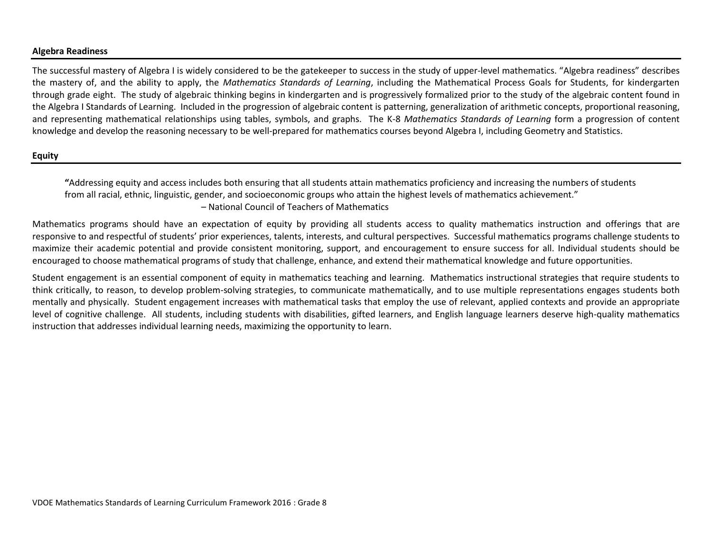### **Algebra Readiness**

The successful mastery of Algebra I is widely considered to be the gatekeeper to success in the study of upper-level mathematics. "Algebra readiness" describes the mastery of, and the ability to apply, the *Mathematics Standards of Learning*, including the Mathematical Process Goals for Students, for kindergarten through grade eight. The study of algebraic thinking begins in kindergarten and is progressively formalized prior to the study of the algebraic content found in the Algebra I Standards of Learning. Included in the progression of algebraic content is patterning, generalization of arithmetic concepts, proportional reasoning, and representing mathematical relationships using tables, symbols, and graphs. The K-8 *Mathematics Standards of Learning* form a progression of content knowledge and develop the reasoning necessary to be well-prepared for mathematics courses beyond Algebra I, including Geometry and Statistics.

# **Equity**

**"**Addressing equity and access includes both ensuring that all students attain mathematics proficiency and increasing the numbers of students from all racial, ethnic, linguistic, gender, and socioeconomic groups who attain the highest levels of mathematics achievement." – National Council of Teachers of Mathematics

Mathematics programs should have an expectation of equity by providing all students access to quality mathematics instruction and offerings that are responsive to and respectful of students' prior experiences, talents, interests, and cultural perspectives. Successful mathematics programs challenge students to maximize their academic potential and provide consistent monitoring, support, and encouragement to ensure success for all. Individual students should be encouraged to choose mathematical programs of study that challenge, enhance, and extend their mathematical knowledge and future opportunities.

Student engagement is an essential component of equity in mathematics teaching and learning. Mathematics instructional strategies that require students to think critically, to reason, to develop problem-solving strategies, to communicate mathematically, and to use multiple representations engages students both mentally and physically. Student engagement increases with mathematical tasks that employ the use of relevant, applied contexts and provide an appropriate level of cognitive challenge. All students, including students with disabilities, gifted learners, and English language learners deserve high-quality mathematics instruction that addresses individual learning needs, maximizing the opportunity to learn.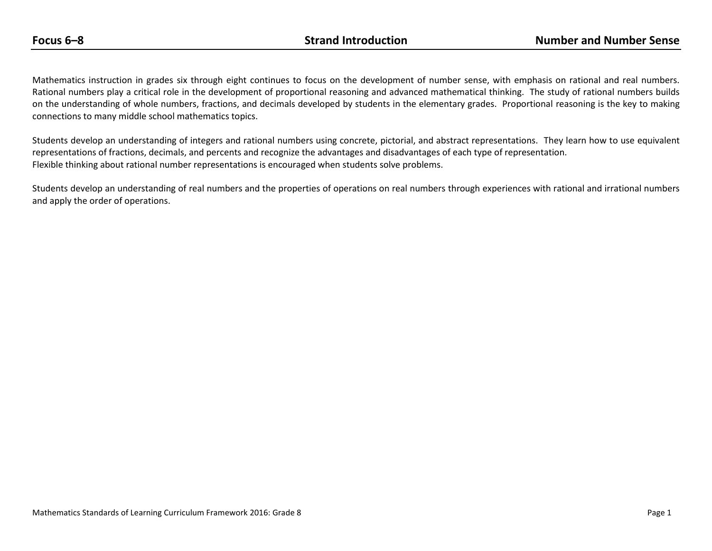Mathematics instruction in grades six through eight continues to focus on the development of number sense, with emphasis on rational and real numbers. Rational numbers play a critical role in the development of proportional reasoning and advanced mathematical thinking. The study of rational numbers builds on the understanding of whole numbers, fractions, and decimals developed by students in the elementary grades. Proportional reasoning is the key to making connections to many middle school mathematics topics.

Students develop an understanding of integers and rational numbers using concrete, pictorial, and abstract representations. They learn how to use equivalent representations of fractions, decimals, and percents and recognize the advantages and disadvantages of each type of representation. Flexible thinking about rational number representations is encouraged when students solve problems.

Students develop an understanding of real numbers and the properties of operations on real numbers through experiences with rational and irrational numbers and apply the order of operations.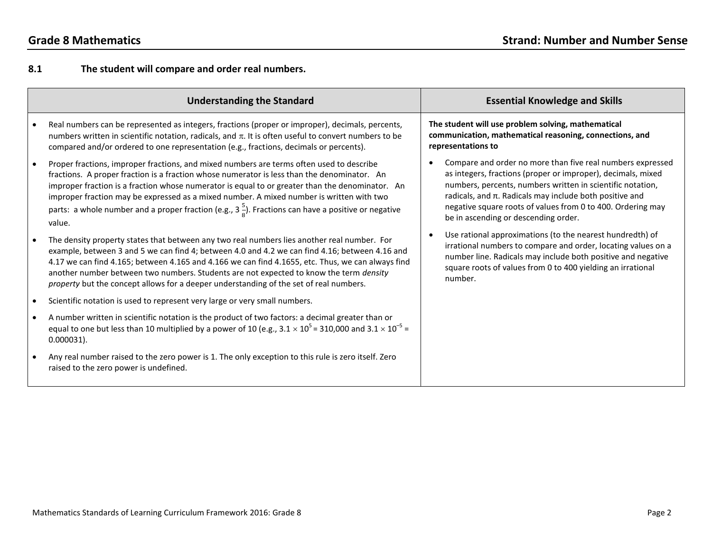# **8.1 The student will compare and order real numbers.**

| <b>Understanding the Standard</b>                                                                                                                                                                                                                                                                                                                                                                                                                                                                                                                                                                                                                                                                                                                                                                                                                                                                                                                                                                            | <b>Essential Knowledge and Skills</b>                                                                                                                                                                                                                                                                                                                                                                                                                                                                                                                                                                                                   |
|--------------------------------------------------------------------------------------------------------------------------------------------------------------------------------------------------------------------------------------------------------------------------------------------------------------------------------------------------------------------------------------------------------------------------------------------------------------------------------------------------------------------------------------------------------------------------------------------------------------------------------------------------------------------------------------------------------------------------------------------------------------------------------------------------------------------------------------------------------------------------------------------------------------------------------------------------------------------------------------------------------------|-----------------------------------------------------------------------------------------------------------------------------------------------------------------------------------------------------------------------------------------------------------------------------------------------------------------------------------------------------------------------------------------------------------------------------------------------------------------------------------------------------------------------------------------------------------------------------------------------------------------------------------------|
| Real numbers can be represented as integers, fractions (proper or improper), decimals, percents,<br>numbers written in scientific notation, radicals, and $\pi$ . It is often useful to convert numbers to be<br>compared and/or ordered to one representation (e.g., fractions, decimals or percents).                                                                                                                                                                                                                                                                                                                                                                                                                                                                                                                                                                                                                                                                                                      | The student will use problem solving, mathematical<br>communication, mathematical reasoning, connections, and<br>representations to                                                                                                                                                                                                                                                                                                                                                                                                                                                                                                     |
| Proper fractions, improper fractions, and mixed numbers are terms often used to describe<br>fractions. A proper fraction is a fraction whose numerator is less than the denominator. An<br>improper fraction is a fraction whose numerator is equal to or greater than the denominator. An<br>improper fraction may be expressed as a mixed number. A mixed number is written with two<br>parts: a whole number and a proper fraction (e.g., $3\frac{5}{8}$ ). Fractions can have a positive or negative<br>value.<br>The density property states that between any two real numbers lies another real number. For<br>example, between 3 and 5 we can find 4; between 4.0 and 4.2 we can find 4.16; between 4.16 and<br>4.17 we can find 4.165; between 4.165 and 4.166 we can find 4.1655, etc. Thus, we can always find<br>another number between two numbers. Students are not expected to know the term density<br>property but the concept allows for a deeper understanding of the set of real numbers. | Compare and order no more than five real numbers expressed<br>as integers, fractions (proper or improper), decimals, mixed<br>numbers, percents, numbers written in scientific notation,<br>radicals, and $\pi$ . Radicals may include both positive and<br>negative square roots of values from 0 to 400. Ordering may<br>be in ascending or descending order.<br>Use rational approximations (to the nearest hundredth) of<br>irrational numbers to compare and order, locating values on a<br>number line. Radicals may include both positive and negative<br>square roots of values from 0 to 400 yielding an irrational<br>number. |
| Scientific notation is used to represent very large or very small numbers.                                                                                                                                                                                                                                                                                                                                                                                                                                                                                                                                                                                                                                                                                                                                                                                                                                                                                                                                   |                                                                                                                                                                                                                                                                                                                                                                                                                                                                                                                                                                                                                                         |
| A number written in scientific notation is the product of two factors: a decimal greater than or<br>equal to one but less than 10 multiplied by a power of 10 (e.g., $3.1 \times 10^5$ = 310,000 and $3.1 \times 10^{-5}$ =<br>$0.000031$ ).                                                                                                                                                                                                                                                                                                                                                                                                                                                                                                                                                                                                                                                                                                                                                                 |                                                                                                                                                                                                                                                                                                                                                                                                                                                                                                                                                                                                                                         |
| Any real number raised to the zero power is 1. The only exception to this rule is zero itself. Zero<br>raised to the zero power is undefined.                                                                                                                                                                                                                                                                                                                                                                                                                                                                                                                                                                                                                                                                                                                                                                                                                                                                |                                                                                                                                                                                                                                                                                                                                                                                                                                                                                                                                                                                                                                         |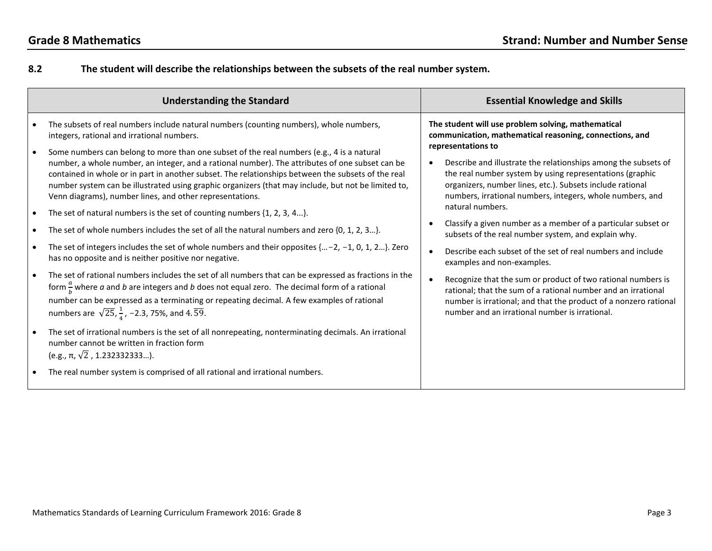# **8.2 The student will describe the relationships between the subsets of the real number system.**

| <b>Understanding the Standard</b>                                                                                                                                                                                                                                                                                                                                                                                                                                                                                                                                                                                                                                                                                                                                                                                                                 | <b>Essential Knowledge and Skills</b>                                                                                                                                                                                                                                                                                                                                                                                                                                                         |
|---------------------------------------------------------------------------------------------------------------------------------------------------------------------------------------------------------------------------------------------------------------------------------------------------------------------------------------------------------------------------------------------------------------------------------------------------------------------------------------------------------------------------------------------------------------------------------------------------------------------------------------------------------------------------------------------------------------------------------------------------------------------------------------------------------------------------------------------------|-----------------------------------------------------------------------------------------------------------------------------------------------------------------------------------------------------------------------------------------------------------------------------------------------------------------------------------------------------------------------------------------------------------------------------------------------------------------------------------------------|
| The subsets of real numbers include natural numbers (counting numbers), whole numbers,<br>integers, rational and irrational numbers.<br>Some numbers can belong to more than one subset of the real numbers (e.g., 4 is a natural<br>number, a whole number, an integer, and a rational number). The attributes of one subset can be<br>contained in whole or in part in another subset. The relationships between the subsets of the real<br>number system can be illustrated using graphic organizers (that may include, but not be limited to,<br>Venn diagrams), number lines, and other representations.<br>The set of natural numbers is the set of counting numbers $\{1, 2, 3, 4\}$ .<br>The set of whole numbers includes the set of all the natural numbers and zero $\{0, 1, 2, 3\}$ .                                                 | The student will use problem solving, mathematical<br>communication, mathematical reasoning, connections, and<br>representations to<br>Describe and illustrate the relationships among the subsets of<br>$\bullet$<br>the real number system by using representations (graphic<br>organizers, number lines, etc.). Subsets include rational<br>numbers, irrational numbers, integers, whole numbers, and<br>natural numbers.<br>Classify a given number as a member of a particular subset or |
| The set of integers includes the set of whole numbers and their opposites $\{$ -2, -1, 0, 1, 2}. Zero<br>has no opposite and is neither positive nor negative.<br>The set of rational numbers includes the set of all numbers that can be expressed as fractions in the<br>form $\frac{a}{b}$ where a and b are integers and b does not equal zero. The decimal form of a rational<br>number can be expressed as a terminating or repeating decimal. A few examples of rational<br>numbers are $\sqrt{25}$ , $\frac{1}{4}$ , -2.3, 75%, and 4. $\overline{59}$ .<br>The set of irrational numbers is the set of all nonrepeating, nonterminating decimals. An irrational<br>number cannot be written in fraction form<br>(e.g., $\pi$ , $\sqrt{2}$ , 1.232332333).<br>The real number system is comprised of all rational and irrational numbers. | subsets of the real number system, and explain why.<br>Describe each subset of the set of real numbers and include<br>$\bullet$<br>examples and non-examples.<br>Recognize that the sum or product of two rational numbers is<br>rational; that the sum of a rational number and an irrational<br>number is irrational; and that the product of a nonzero rational<br>number and an irrational number is irrational.                                                                          |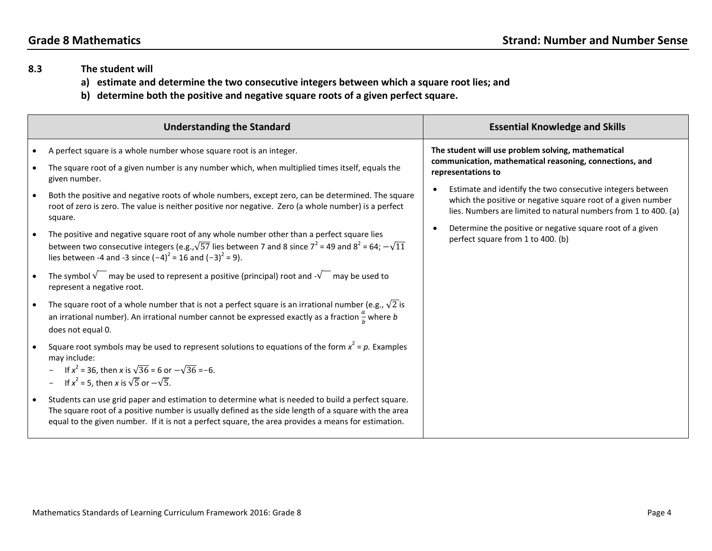**8.3 The student will**

**a) estimate and determine the two consecutive integers between which a square root lies; and** 

**b) determine both the positive and negative square roots of a given perfect square.** 

| <b>Understanding the Standard</b>                                                                                                                                                                                                                                                                                | <b>Essential Knowledge and Skills</b>                                                                                                                                                         |
|------------------------------------------------------------------------------------------------------------------------------------------------------------------------------------------------------------------------------------------------------------------------------------------------------------------|-----------------------------------------------------------------------------------------------------------------------------------------------------------------------------------------------|
| A perfect square is a whole number whose square root is an integer.<br>The square root of a given number is any number which, when multiplied times itself, equals the<br>given number.                                                                                                                          | The student will use problem solving, mathematical<br>communication, mathematical reasoning, connections, and<br>representations to                                                           |
| Both the positive and negative roots of whole numbers, except zero, can be determined. The square<br>root of zero is zero. The value is neither positive nor negative. Zero (a whole number) is a perfect<br>square.                                                                                             | Estimate and identify the two consecutive integers between<br>which the positive or negative square root of a given number<br>lies. Numbers are limited to natural numbers from 1 to 400. (a) |
| The positive and negative square root of any whole number other than a perfect square lies<br>between two consecutive integers (e.g., $\sqrt{57}$ lies between 7 and 8 since $7^2$ = 49 and $8^2$ = 64; $-\sqrt{11}$<br>lies between -4 and -3 since $(-4)^2 = 16$ and $(-3)^2 = 9$ ).                           | Determine the positive or negative square root of a given<br>perfect square from 1 to 400. (b)                                                                                                |
| The symbol $\sqrt{\phantom{a}}$ may be used to represent a positive (principal) root and $\sqrt{\phantom{a}}$ may be used to<br>represent a negative root.                                                                                                                                                       |                                                                                                                                                                                               |
| The square root of a whole number that is not a perfect square is an irrational number (e.g., $\sqrt{2}$ is<br>an irrational number). An irrational number cannot be expressed exactly as a fraction $\frac{a}{b}$ where b<br>does not equal 0.                                                                  |                                                                                                                                                                                               |
| Square root symbols may be used to represent solutions to equations of the form $x^2 = p$ . Examples<br>may include:<br>- If $x^2$ = 36, then x is $\sqrt{36}$ = 6 or $-\sqrt{36}$ =-6.<br>- If $x^2 = 5$ , then x is $\sqrt{5}$ or $-\sqrt{5}$ .                                                                |                                                                                                                                                                                               |
| Students can use grid paper and estimation to determine what is needed to build a perfect square.<br>The square root of a positive number is usually defined as the side length of a square with the area<br>equal to the given number. If it is not a perfect square, the area provides a means for estimation. |                                                                                                                                                                                               |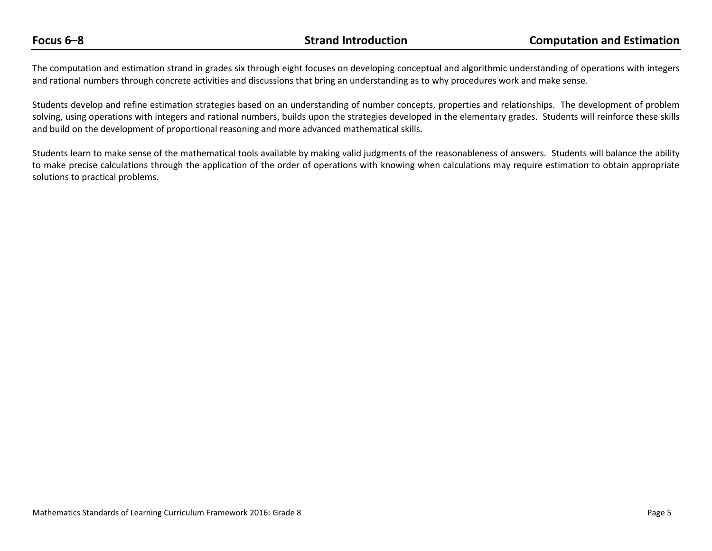The computation and estimation strand in grades six through eight focuses on developing conceptual and algorithmic understanding of operations with integers and rational numbers through concrete activities and discussions that bring an understanding as to why procedures work and make sense.

Students develop and refine estimation strategies based on an understanding of number concepts, properties and relationships. The development of problem solving, using operations with integers and rational numbers, builds upon the strategies developed in the elementary grades. Students will reinforce these skills and build on the development of proportional reasoning and more advanced mathematical skills.

Students learn to make sense of the mathematical tools available by making valid judgments of the reasonableness of answers. Students will balance the ability to make precise calculations through the application of the order of operations with knowing when calculations may require estimation to obtain appropriate solutions to practical problems.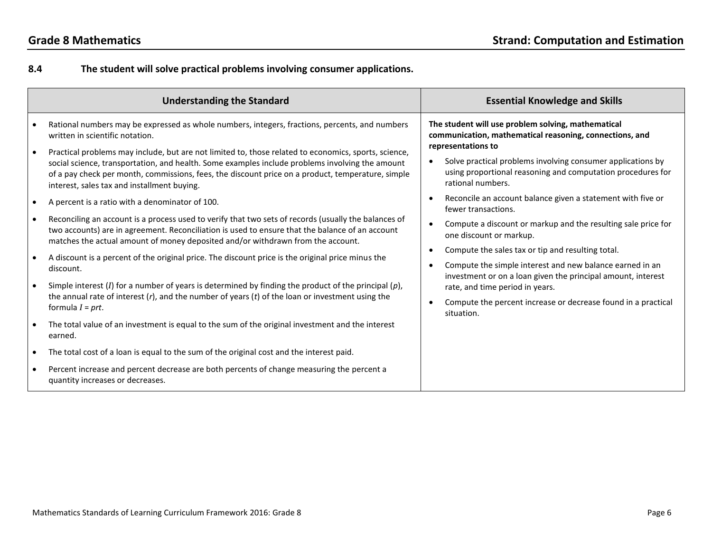# **8.4 The student will solve practical problems involving consumer applications.**

| <b>Understanding the Standard</b>                                                                                                                                                                                                                                                                                                                           | <b>Essential Knowledge and Skills</b>                                                                                                                                                                                                                                                                                     |
|-------------------------------------------------------------------------------------------------------------------------------------------------------------------------------------------------------------------------------------------------------------------------------------------------------------------------------------------------------------|---------------------------------------------------------------------------------------------------------------------------------------------------------------------------------------------------------------------------------------------------------------------------------------------------------------------------|
| Rational numbers may be expressed as whole numbers, integers, fractions, percents, and numbers<br>written in scientific notation.                                                                                                                                                                                                                           | The student will use problem solving, mathematical<br>communication, mathematical reasoning, connections, and<br>representations to                                                                                                                                                                                       |
| Practical problems may include, but are not limited to, those related to economics, sports, science,<br>social science, transportation, and health. Some examples include problems involving the amount<br>of a pay check per month, commissions, fees, the discount price on a product, temperature, simple<br>interest, sales tax and installment buying. | Solve practical problems involving consumer applications by<br>using proportional reasoning and computation procedures for<br>rational numbers.                                                                                                                                                                           |
| A percent is a ratio with a denominator of 100.                                                                                                                                                                                                                                                                                                             | Reconcile an account balance given a statement with five or<br>fewer transactions.                                                                                                                                                                                                                                        |
| Reconciling an account is a process used to verify that two sets of records (usually the balances of<br>two accounts) are in agreement. Reconciliation is used to ensure that the balance of an account<br>matches the actual amount of money deposited and/or withdrawn from the account.                                                                  | Compute a discount or markup and the resulting sale price for<br>one discount or markup.                                                                                                                                                                                                                                  |
| A discount is a percent of the original price. The discount price is the original price minus the<br>discount.                                                                                                                                                                                                                                              | Compute the sales tax or tip and resulting total.<br>$\bullet$<br>Compute the simple interest and new balance earned in an<br>investment or on a loan given the principal amount, interest<br>rate, and time period in years.<br>Compute the percent increase or decrease found in a practical<br>$\bullet$<br>situation. |
| Simple interest (I) for a number of years is determined by finding the product of the principal $(p)$ ,<br>the annual rate of interest $(r)$ , and the number of years $(t)$ of the loan or investment using the<br>formula $I = prt$ .                                                                                                                     |                                                                                                                                                                                                                                                                                                                           |
| The total value of an investment is equal to the sum of the original investment and the interest<br>earned.                                                                                                                                                                                                                                                 |                                                                                                                                                                                                                                                                                                                           |
| The total cost of a loan is equal to the sum of the original cost and the interest paid.                                                                                                                                                                                                                                                                    |                                                                                                                                                                                                                                                                                                                           |
| Percent increase and percent decrease are both percents of change measuring the percent a<br>quantity increases or decreases.                                                                                                                                                                                                                               |                                                                                                                                                                                                                                                                                                                           |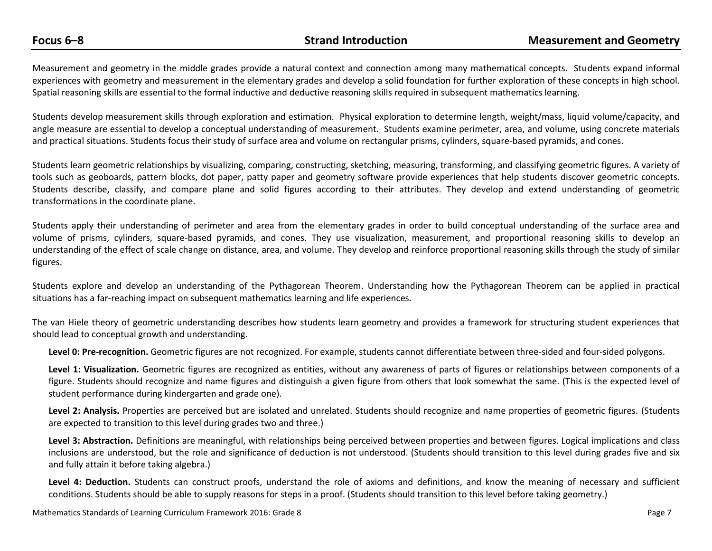Measurement and geometry in the middle grades provide a natural context and connection among many mathematical concepts. Students expand informal experiences with geometry and measurement in the elementary grades and develop a solid foundation for further exploration of these concepts in high school. Spatial reasoning skills are essential to the formal inductive and deductive reasoning skills required in subsequent mathematics learning.

Students develop measurement skills through exploration and estimation. Physical exploration to determine length, weight/mass, liquid volume/capacity, and angle measure are essential to develop a conceptual understanding of measurement. Students examine perimeter, area, and volume, using concrete materials and practical situations. Students focus their study of surface area and volume on rectangular prisms, cylinders, square-based pyramids, and cones.

Students learn geometric relationships by visualizing, comparing, constructing, sketching, measuring, transforming, and classifying geometric figures. A variety of tools such as geoboards, pattern blocks, dot paper, patty paper and geometry software provide experiences that help students discover geometric concepts. Students describe, classify, and compare plane and solid figures according to their attributes. They develop and extend understanding of geometric transformations in the coordinate plane.

Students apply their understanding of perimeter and area from the elementary grades in order to build conceptual understanding of the surface area and volume of prisms, cylinders, square-based pyramids, and cones. They use visualization, measurement, and proportional reasoning skills to develop an understanding of the effect of scale change on distance, area, and volume. They develop and reinforce proportional reasoning skills through the study of similar figures.

Students explore and develop an understanding of the Pythagorean Theorem. Understanding how the Pythagorean Theorem can be applied in practical situations has a far-reaching impact on subsequent mathematics learning and life experiences.

The van Hiele theory of geometric understanding describes how students learn geometry and provides a framework for structuring student experiences that should lead to conceptual growth and understanding.

**Level 0: Pre-recognition.** Geometric figures are not recognized. For example, students cannot differentiate between three-sided and four-sided polygons.

Level 1: Visualization. Geometric figures are recognized as entities, without any awareness of parts of figures or relationships between components of a figure. Students should recognize and name figures and distinguish a given figure from others that look somewhat the same. (This is the expected level of student performance during kindergarten and grade one).

**Level 2: Analysis.** Properties are perceived but are isolated and unrelated. Students should recognize and name properties of geometric figures. (Students are expected to transition to this level during grades two and three.)

**Level 3: Abstraction.** Definitions are meaningful, with relationships being perceived between properties and between figures. Logical implications and class inclusions are understood, but the role and significance of deduction is not understood. (Students should transition to this level during grades five and six and fully attain it before taking algebra.)

Level 4: Deduction. Students can construct proofs, understand the role of axioms and definitions, and know the meaning of necessary and sufficient conditions. Students should be able to supply reasons for steps in a proof. (Students should transition to this level before taking geometry.)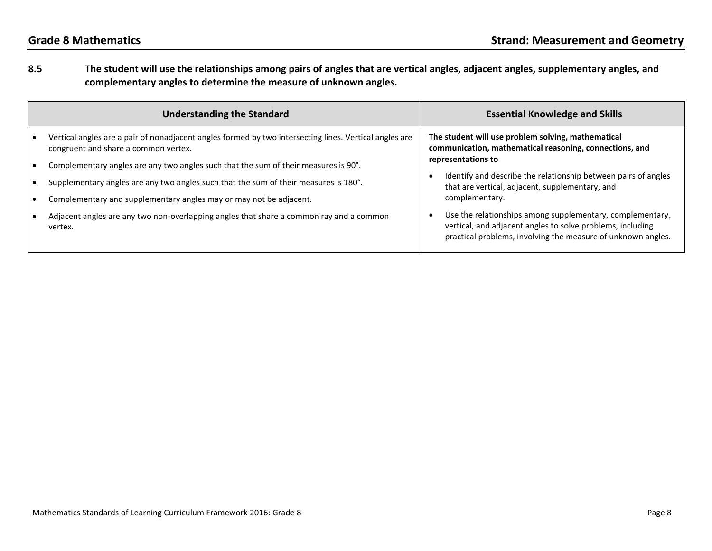**8.5 The student will use the relationships among pairs of angles that are vertical angles, adjacent angles, supplementary angles, and complementary angles to determine the measure of unknown angles.**

| <b>Understanding the Standard</b>                                                                                                              | <b>Essential Knowledge and Skills</b>                                                                                                                                                   |
|------------------------------------------------------------------------------------------------------------------------------------------------|-----------------------------------------------------------------------------------------------------------------------------------------------------------------------------------------|
| Vertical angles are a pair of nonadjacent angles formed by two intersecting lines. Vertical angles are<br>congruent and share a common vertex. | The student will use problem solving, mathematical<br>communication, mathematical reasoning, connections, and                                                                           |
| Complementary angles are any two angles such that the sum of their measures is 90°.                                                            | representations to                                                                                                                                                                      |
| Supplementary angles are any two angles such that the sum of their measures is 180°.                                                           | Identify and describe the relationship between pairs of angles<br>that are vertical, adjacent, supplementary, and                                                                       |
| Complementary and supplementary angles may or may not be adjacent.                                                                             | complementary.                                                                                                                                                                          |
| Adjacent angles are any two non-overlapping angles that share a common ray and a common<br>vertex.                                             | Use the relationships among supplementary, complementary,<br>vertical, and adjacent angles to solve problems, including<br>practical problems, involving the measure of unknown angles. |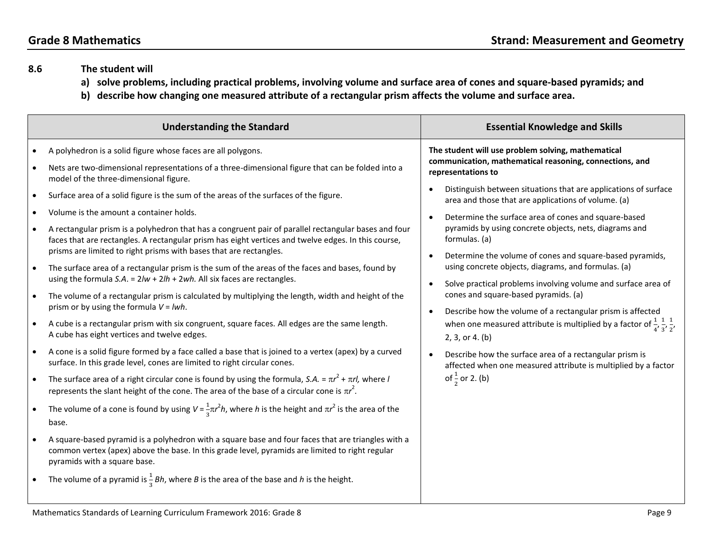- **8.6 The student will**
	- **a) solve problems, including practical problems, involving volume and surface area of cones and square-based pyramids; and**
	- **b) describe how changing one measured attribute of a rectangular prism affects the volume and surface area.**

| The student will use problem solving, mathematical<br>A polyhedron is a solid figure whose faces are all polygons.<br>communication, mathematical reasoning, connections, and<br>Nets are two-dimensional representations of a three-dimensional figure that can be folded into a<br>$\bullet$<br>representations to<br>model of the three-dimensional figure.<br>Distinguish between situations that are applications of surface<br>Surface area of a solid figure is the sum of the areas of the surfaces of the figure.<br>area and those that are applications of volume. (a)<br>Volume is the amount a container holds.<br>Determine the surface area of cones and square-based<br>pyramids by using concrete objects, nets, diagrams and<br>A rectangular prism is a polyhedron that has a congruent pair of parallel rectangular bases and four<br>formulas. (a)<br>faces that are rectangles. A rectangular prism has eight vertices and twelve edges. In this course,<br>prisms are limited to right prisms with bases that are rectangles.<br>Determine the volume of cones and square-based pyramids,<br>using concrete objects, diagrams, and formulas. (a)<br>The surface area of a rectangular prism is the sum of the areas of the faces and bases, found by<br>using the formula $S.A. = 2/w + 2lh + 2wh$ . All six faces are rectangles.<br>Solve practical problems involving volume and surface area of<br>cones and square-based pyramids. (a)<br>The volume of a rectangular prism is calculated by multiplying the length, width and height of the<br>prism or by using the formula $V = lwh$ .<br>Describe how the volume of a rectangular prism is affected<br>when one measured attribute is multiplied by a factor of $\frac{1}{4}, \frac{1}{3}, \frac{1}{2}$ ,<br>A cube is a rectangular prism with six congruent, square faces. All edges are the same length.<br>A cube has eight vertices and twelve edges.<br>2, 3, or 4. (b)<br>A cone is a solid figure formed by a face called a base that is joined to a vertex (apex) by a curved<br>Describe how the surface area of a rectangular prism is<br>surface. In this grade level, cones are limited to right circular cones.<br>affected when one measured attribute is multiplied by a factor<br>of $\frac{1}{2}$ or 2. (b)<br>The surface area of a right circular cone is found by using the formula, S.A. = $\pi r^2$ + $\pi r l$ , where l<br>$\bullet$<br>represents the slant height of the cone. The area of the base of a circular cone is $\pi r^2$ .<br>The volume of a cone is found by using $V = \frac{1}{2}\pi r^2 h$ , where h is the height and $\pi r^2$ is the area of the<br>$\bullet$<br>base.<br>A square-based pyramid is a polyhedron with a square base and four faces that are triangles with a<br>common vertex (apex) above the base. In this grade level, pyramids are limited to right regular<br>pyramids with a square base.<br>The volume of a pyramid is $\frac{1}{3}$ Bh, where B is the area of the base and h is the height. | <b>Understanding the Standard</b> | <b>Essential Knowledge and Skills</b> |
|----------------------------------------------------------------------------------------------------------------------------------------------------------------------------------------------------------------------------------------------------------------------------------------------------------------------------------------------------------------------------------------------------------------------------------------------------------------------------------------------------------------------------------------------------------------------------------------------------------------------------------------------------------------------------------------------------------------------------------------------------------------------------------------------------------------------------------------------------------------------------------------------------------------------------------------------------------------------------------------------------------------------------------------------------------------------------------------------------------------------------------------------------------------------------------------------------------------------------------------------------------------------------------------------------------------------------------------------------------------------------------------------------------------------------------------------------------------------------------------------------------------------------------------------------------------------------------------------------------------------------------------------------------------------------------------------------------------------------------------------------------------------------------------------------------------------------------------------------------------------------------------------------------------------------------------------------------------------------------------------------------------------------------------------------------------------------------------------------------------------------------------------------------------------------------------------------------------------------------------------------------------------------------------------------------------------------------------------------------------------------------------------------------------------------------------------------------------------------------------------------------------------------------------------------------------------------------------------------------------------------------------------------------------------------------------------------------------------------------------------------------------------------------------------------------------------------------------------------------------------------------------------------------------------------------------------------------------------------------------------------------------------------------------------------|-----------------------------------|---------------------------------------|
|                                                                                                                                                                                                                                                                                                                                                                                                                                                                                                                                                                                                                                                                                                                                                                                                                                                                                                                                                                                                                                                                                                                                                                                                                                                                                                                                                                                                                                                                                                                                                                                                                                                                                                                                                                                                                                                                                                                                                                                                                                                                                                                                                                                                                                                                                                                                                                                                                                                                                                                                                                                                                                                                                                                                                                                                                                                                                                                                                                                                                                                    |                                   |                                       |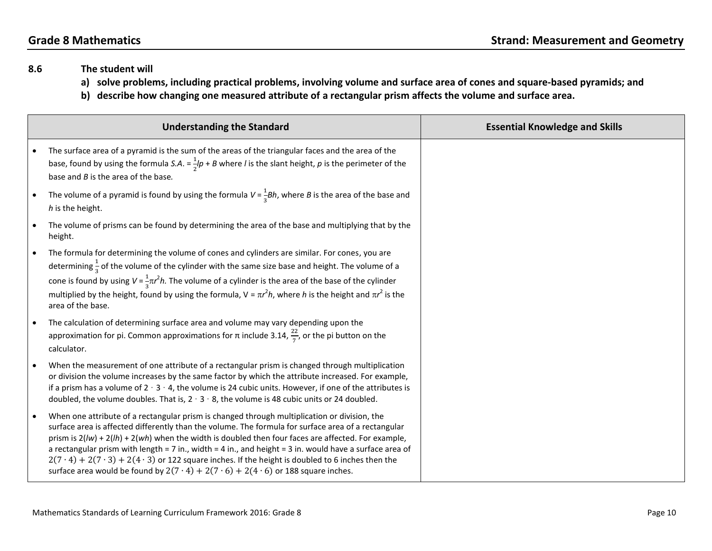- **8.6 The student will**
	- **a) solve problems, including practical problems, involving volume and surface area of cones and square-based pyramids; and**
	- **b) describe how changing one measured attribute of a rectangular prism affects the volume and surface area.**

|           | <b>Understanding the Standard</b>                                                                                                                                                                                                                                                                                                                                                                                                                                                                                                                                                                                                                      | <b>Essential Knowledge and Skills</b> |
|-----------|--------------------------------------------------------------------------------------------------------------------------------------------------------------------------------------------------------------------------------------------------------------------------------------------------------------------------------------------------------------------------------------------------------------------------------------------------------------------------------------------------------------------------------------------------------------------------------------------------------------------------------------------------------|---------------------------------------|
|           | The surface area of a pyramid is the sum of the areas of the triangular faces and the area of the<br>base, found by using the formula S.A. = $\frac{1}{2}/p + B$ where <i>l</i> is the slant height, <i>p</i> is the perimeter of the<br>base and B is the area of the base.                                                                                                                                                                                                                                                                                                                                                                           |                                       |
|           | The volume of a pyramid is found by using the formula $V = \frac{1}{3}Bh$ , where B is the area of the base and<br>h is the height.                                                                                                                                                                                                                                                                                                                                                                                                                                                                                                                    |                                       |
|           | The volume of prisms can be found by determining the area of the base and multiplying that by the<br>height.                                                                                                                                                                                                                                                                                                                                                                                                                                                                                                                                           |                                       |
|           | The formula for determining the volume of cones and cylinders are similar. For cones, you are<br>determining $\frac{1}{2}$ of the volume of the cylinder with the same size base and height. The volume of a<br>cone is found by using $V = \frac{1}{2}\pi r^2 h$ . The volume of a cylinder is the area of the base of the cylinder<br>multiplied by the height, found by using the formula, $V = \pi r^2 h$ , where h is the height and $\pi r^2$ is the<br>area of the base.                                                                                                                                                                        |                                       |
|           | The calculation of determining surface area and volume may vary depending upon the<br>approximation for pi. Common approximations for $\pi$ include 3.14, $\frac{22}{7}$ , or the pi button on the<br>calculator.                                                                                                                                                                                                                                                                                                                                                                                                                                      |                                       |
|           | When the measurement of one attribute of a rectangular prism is changed through multiplication<br>or division the volume increases by the same factor by which the attribute increased. For example,<br>if a prism has a volume of $2 \cdot 3 \cdot 4$ , the volume is 24 cubic units. However, if one of the attributes is<br>doubled, the volume doubles. That is, $2 \cdot 3 \cdot 8$ , the volume is 48 cubic units or 24 doubled.                                                                                                                                                                                                                 |                                       |
| $\bullet$ | When one attribute of a rectangular prism is changed through multiplication or division, the<br>surface area is affected differently than the volume. The formula for surface area of a rectangular<br>prism is $2(lw) + 2(lh) + 2(wh)$ when the width is doubled then four faces are affected. For example,<br>a rectangular prism with length = $7$ in., width = $4$ in., and height = $3$ in. would have a surface area of<br>$2(7 \cdot 4) + 2(7 \cdot 3) + 2(4 \cdot 3)$ or 122 square inches. If the height is doubled to 6 inches then the<br>surface area would be found by $2(7 \cdot 4) + 2(7 \cdot 6) + 2(4 \cdot 6)$ or 188 square inches. |                                       |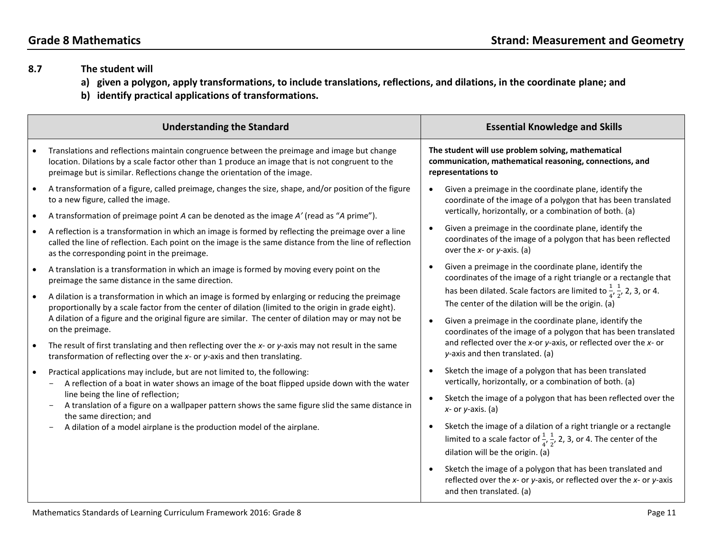- **8.7 The student will** 
	- **a) given a polygon, apply transformations, to include translations, reflections, and dilations, in the coordinate plane; and**
	- **b) identify practical applications of transformations.**

|           | <b>Understanding the Standard</b>                                                                                                                                                                                                                                                                                                    | <b>Essential Knowledge and Skills</b>                                                                                                                                                                                                                                                     |
|-----------|--------------------------------------------------------------------------------------------------------------------------------------------------------------------------------------------------------------------------------------------------------------------------------------------------------------------------------------|-------------------------------------------------------------------------------------------------------------------------------------------------------------------------------------------------------------------------------------------------------------------------------------------|
| $\bullet$ | Translations and reflections maintain congruence between the preimage and image but change<br>location. Dilations by a scale factor other than 1 produce an image that is not congruent to the<br>preimage but is similar. Reflections change the orientation of the image.                                                          | The student will use problem solving, mathematical<br>communication, mathematical reasoning, connections, and<br>representations to                                                                                                                                                       |
| $\bullet$ | A transformation of a figure, called preimage, changes the size, shape, and/or position of the figure<br>to a new figure, called the image.                                                                                                                                                                                          | Given a preimage in the coordinate plane, identify the<br>coordinate of the image of a polygon that has been translated<br>vertically, horizontally, or a combination of both. (a)                                                                                                        |
| $\bullet$ | A transformation of preimage point A can be denoted as the image A' (read as "A prime").                                                                                                                                                                                                                                             | Given a preimage in the coordinate plane, identify the                                                                                                                                                                                                                                    |
| $\bullet$ | A reflection is a transformation in which an image is formed by reflecting the preimage over a line<br>called the line of reflection. Each point on the image is the same distance from the line of reflection<br>as the corresponding point in the preimage.                                                                        | coordinates of the image of a polygon that has been reflected<br>over the $x$ - or $y$ -axis. (a)                                                                                                                                                                                         |
|           | A translation is a transformation in which an image is formed by moving every point on the<br>preimage the same distance in the same direction.                                                                                                                                                                                      | Given a preimage in the coordinate plane, identify the<br>$\bullet$<br>coordinates of the image of a right triangle or a rectangle that                                                                                                                                                   |
|           | A dilation is a transformation in which an image is formed by enlarging or reducing the preimage<br>proportionally by a scale factor from the center of dilation (limited to the origin in grade eight).<br>A dilation of a figure and the original figure are similar. The center of dilation may or may not be<br>on the preimage. | has been dilated. Scale factors are limited to $\frac{1}{a}$ , $\frac{1}{2}$ , 2, 3, or 4.<br>The center of the dilation will be the origin. (a)<br>Given a preimage in the coordinate plane, identify the<br>$\bullet$<br>coordinates of the image of a polygon that has been translated |
| $\bullet$ | The result of first translating and then reflecting over the $x$ - or $y$ -axis may not result in the same<br>transformation of reflecting over the x- or y-axis and then translating.                                                                                                                                               | and reflected over the x-or y-axis, or reflected over the x- or<br>y-axis and then translated. (a)                                                                                                                                                                                        |
| $\bullet$ | Practical applications may include, but are not limited to, the following:<br>A reflection of a boat in water shows an image of the boat flipped upside down with the water                                                                                                                                                          | Sketch the image of a polygon that has been translated<br>vertically, horizontally, or a combination of both. (a)                                                                                                                                                                         |
|           | line being the line of reflection;<br>A translation of a figure on a wallpaper pattern shows the same figure slid the same distance in<br>the same direction; and                                                                                                                                                                    | Sketch the image of a polygon that has been reflected over the<br>$x$ - or $y$ -axis. (a)                                                                                                                                                                                                 |
|           | A dilation of a model airplane is the production model of the airplane.                                                                                                                                                                                                                                                              | Sketch the image of a dilation of a right triangle or a rectangle<br>$\bullet$<br>limited to a scale factor of $\frac{1}{\lambda}$ , $\frac{1}{2}$ , 2, 3, or 4. The center of the<br>dilation will be the origin. (a)                                                                    |
|           |                                                                                                                                                                                                                                                                                                                                      | Sketch the image of a polygon that has been translated and<br>reflected over the $x$ - or $y$ -axis, or reflected over the $x$ - or $y$ -axis<br>and then translated. (a)                                                                                                                 |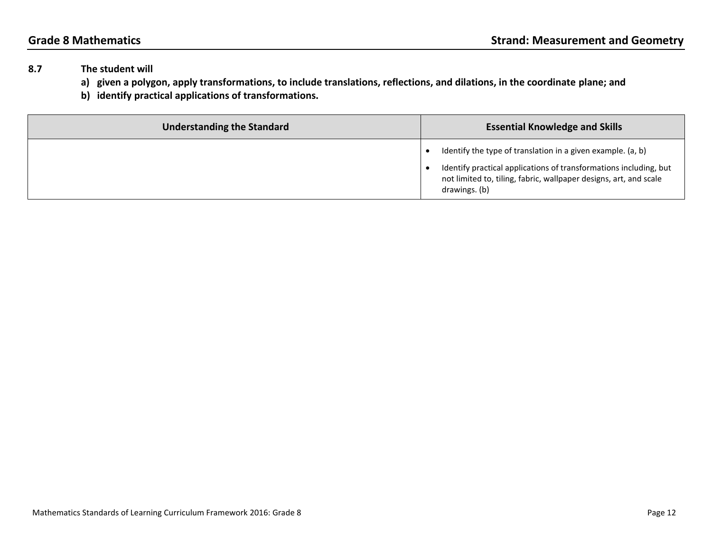# **8.7 The student will**

- **a) given a polygon, apply transformations, to include translations, reflections, and dilations, in the coordinate plane; and**
- **b) identify practical applications of transformations.**

| <b>Understanding the Standard</b> | <b>Essential Knowledge and Skills</b>                                                                                                                                                                                  |
|-----------------------------------|------------------------------------------------------------------------------------------------------------------------------------------------------------------------------------------------------------------------|
|                                   | Identify the type of translation in a given example. (a, b)<br>Identify practical applications of transformations including, but<br>not limited to, tiling, fabric, wallpaper designs, art, and scale<br>drawings. (b) |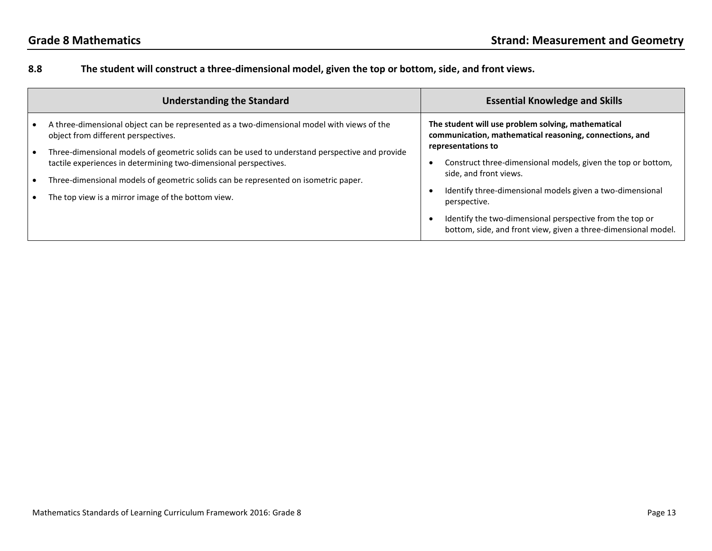# **8.8 The student will construct a three-dimensional model, given the top or bottom, side, and front views.**

| <b>Understanding the Standard</b>                                                                                                                                  | <b>Essential Knowledge and Skills</b>                                                                                      |
|--------------------------------------------------------------------------------------------------------------------------------------------------------------------|----------------------------------------------------------------------------------------------------------------------------|
| A three-dimensional object can be represented as a two-dimensional model with views of the<br>object from different perspectives.                                  | The student will use problem solving, mathematical<br>communication, mathematical reasoning, connections, and              |
| Three-dimensional models of geometric solids can be used to understand perspective and provide<br>tactile experiences in determining two-dimensional perspectives. | representations to<br>Construct three-dimensional models, given the top or bottom,<br>side, and front views.               |
| Three-dimensional models of geometric solids can be represented on isometric paper.                                                                                | Identify three-dimensional models given a two-dimensional                                                                  |
| The top view is a mirror image of the bottom view.                                                                                                                 | perspective.                                                                                                               |
|                                                                                                                                                                    | Identify the two-dimensional perspective from the top or<br>bottom, side, and front view, given a three-dimensional model. |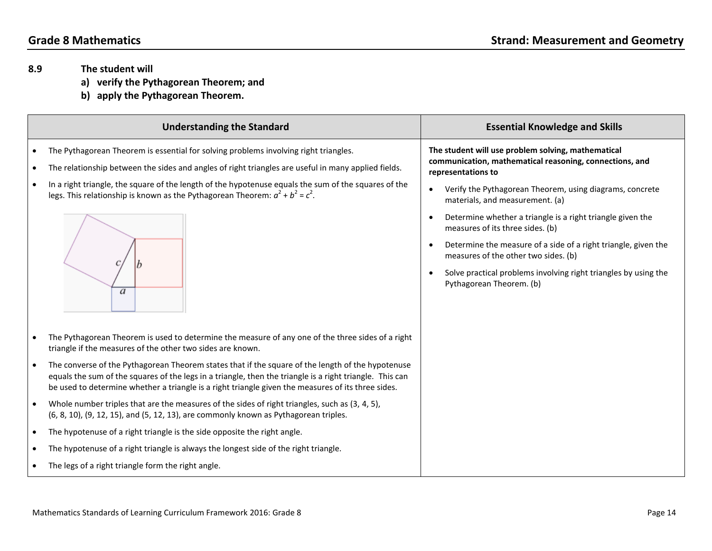- **8.9 The student will**
	- **a) verify the Pythagorean Theorem; and**
	- **b) apply the Pythagorean Theorem.**

|                        | <b>Understanding the Standard</b>                                                                                                                                                                                                                                                                                   | <b>Essential Knowledge and Skills</b>                                                                                               |
|------------------------|---------------------------------------------------------------------------------------------------------------------------------------------------------------------------------------------------------------------------------------------------------------------------------------------------------------------|-------------------------------------------------------------------------------------------------------------------------------------|
| $\bullet$<br>$\bullet$ | The Pythagorean Theorem is essential for solving problems involving right triangles.<br>The relationship between the sides and angles of right triangles are useful in many applied fields.                                                                                                                         | The student will use problem solving, mathematical<br>communication, mathematical reasoning, connections, and<br>representations to |
| $\bullet$              | In a right triangle, the square of the length of the hypotenuse equals the sum of the squares of the<br>legs. This relationship is known as the Pythagorean Theorem: $a^2 + b^2 = c^2$ .                                                                                                                            | Verify the Pythagorean Theorem, using diagrams, concrete<br>materials, and measurement. (a)                                         |
|                        |                                                                                                                                                                                                                                                                                                                     | Determine whether a triangle is a right triangle given the<br>measures of its three sides. (b)                                      |
|                        |                                                                                                                                                                                                                                                                                                                     | Determine the measure of a side of a right triangle, given the<br>measures of the other two sides. (b)                              |
|                        | a                                                                                                                                                                                                                                                                                                                   | Solve practical problems involving right triangles by using the<br>$\bullet$<br>Pythagorean Theorem. (b)                            |
|                        | The Pythagorean Theorem is used to determine the measure of any one of the three sides of a right<br>triangle if the measures of the other two sides are known.                                                                                                                                                     |                                                                                                                                     |
|                        | The converse of the Pythagorean Theorem states that if the square of the length of the hypotenuse<br>equals the sum of the squares of the legs in a triangle, then the triangle is a right triangle. This can<br>be used to determine whether a triangle is a right triangle given the measures of its three sides. |                                                                                                                                     |
|                        | Whole number triples that are the measures of the sides of right triangles, such as (3, 4, 5),<br>(6, 8, 10), (9, 12, 15), and (5, 12, 13), are commonly known as Pythagorean triples.                                                                                                                              |                                                                                                                                     |
| $\bullet$              | The hypotenuse of a right triangle is the side opposite the right angle.                                                                                                                                                                                                                                            |                                                                                                                                     |
| $\bullet$              | The hypotenuse of a right triangle is always the longest side of the right triangle.                                                                                                                                                                                                                                |                                                                                                                                     |
|                        | The legs of a right triangle form the right angle.                                                                                                                                                                                                                                                                  |                                                                                                                                     |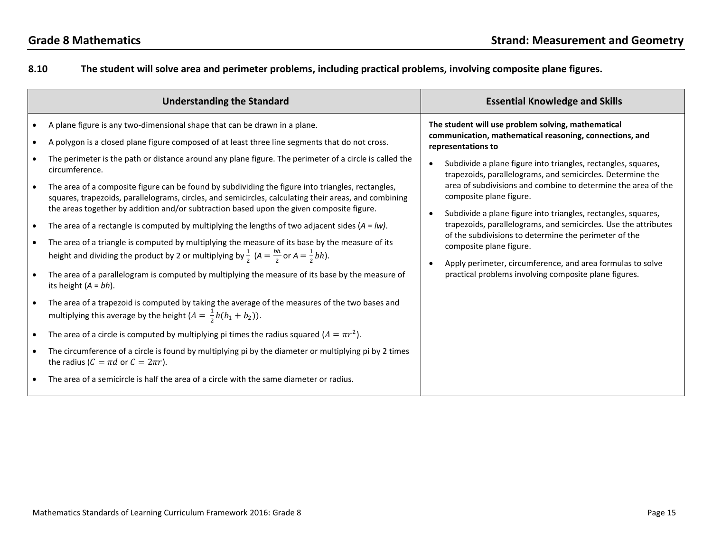# **8.10 The student will solve area and perimeter problems, including practical problems, involving composite plane figures.**

| <b>Understanding the Standard</b>                                                                                                                                                                                                                                                                                                                                                                                                                                                                                                                                                                                                                                                                                                                                                                                                                                                                                                                                                                                                                                                                                                                                                                                                                                                                                                                                                                                                                                                                                                                                                                                | <b>Essential Knowledge and Skills</b>                                                                                                                                                                                                                                                                                                                                                                                                                                                                                                                                                                                                                                                                                      |
|------------------------------------------------------------------------------------------------------------------------------------------------------------------------------------------------------------------------------------------------------------------------------------------------------------------------------------------------------------------------------------------------------------------------------------------------------------------------------------------------------------------------------------------------------------------------------------------------------------------------------------------------------------------------------------------------------------------------------------------------------------------------------------------------------------------------------------------------------------------------------------------------------------------------------------------------------------------------------------------------------------------------------------------------------------------------------------------------------------------------------------------------------------------------------------------------------------------------------------------------------------------------------------------------------------------------------------------------------------------------------------------------------------------------------------------------------------------------------------------------------------------------------------------------------------------------------------------------------------------|----------------------------------------------------------------------------------------------------------------------------------------------------------------------------------------------------------------------------------------------------------------------------------------------------------------------------------------------------------------------------------------------------------------------------------------------------------------------------------------------------------------------------------------------------------------------------------------------------------------------------------------------------------------------------------------------------------------------------|
| A plane figure is any two-dimensional shape that can be drawn in a plane.<br>A polygon is a closed plane figure composed of at least three line segments that do not cross.<br>The perimeter is the path or distance around any plane figure. The perimeter of a circle is called the<br>circumference.<br>The area of a composite figure can be found by subdividing the figure into triangles, rectangles,<br>squares, trapezoids, parallelograms, circles, and semicircles, calculating their areas, and combining<br>the areas together by addition and/or subtraction based upon the given composite figure.<br>The area of a rectangle is computed by multiplying the lengths of two adjacent sides $(A = lw)$ .<br>The area of a triangle is computed by multiplying the measure of its base by the measure of its<br>height and dividing the product by 2 or multiplying by $\frac{1}{2}$ (A = $\frac{bh}{2}$ or A = $\frac{1}{2}bh$ ).<br>The area of a parallelogram is computed by multiplying the measure of its base by the measure of<br>its height $(A = bh)$ .<br>The area of a trapezoid is computed by taking the average of the measures of the two bases and<br>multiplying this average by the height $(A = \frac{1}{2}h(b_1 + b_2)).$<br>The area of a circle is computed by multiplying pi times the radius squared ( $A = \pi r^2$ ).<br>The circumference of a circle is found by multiplying pi by the diameter or multiplying pi by 2 times<br>the radius ( $C = \pi d$ or $C = 2\pi r$ ).<br>The area of a semicircle is half the area of a circle with the same diameter or radius. | The student will use problem solving, mathematical<br>communication, mathematical reasoning, connections, and<br>representations to<br>Subdivide a plane figure into triangles, rectangles, squares,<br>trapezoids, parallelograms, and semicircles. Determine the<br>area of subdivisions and combine to determine the area of the<br>composite plane figure.<br>Subdivide a plane figure into triangles, rectangles, squares,<br>trapezoids, parallelograms, and semicircles. Use the attributes<br>of the subdivisions to determine the perimeter of the<br>composite plane figure.<br>Apply perimeter, circumference, and area formulas to solve<br>$\bullet$<br>practical problems involving composite plane figures. |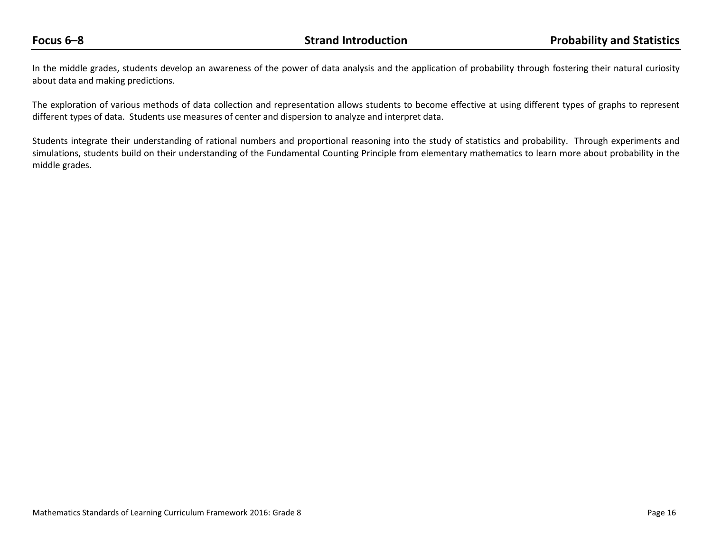In the middle grades, students develop an awareness of the power of data analysis and the application of probability through fostering their natural curiosity about data and making predictions.

The exploration of various methods of data collection and representation allows students to become effective at using different types of graphs to represent different types of data. Students use measures of center and dispersion to analyze and interpret data.

Students integrate their understanding of rational numbers and proportional reasoning into the study of statistics and probability. Through experiments and simulations, students build on their understanding of the Fundamental Counting Principle from elementary mathematics to learn more about probability in the middle grades.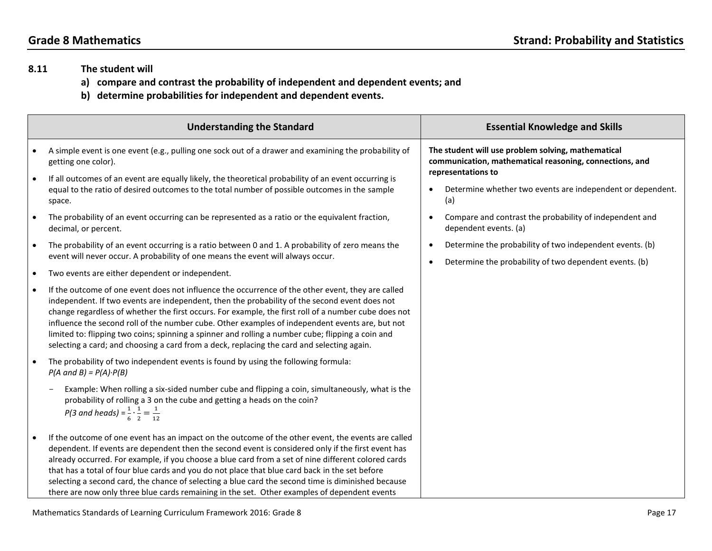- **8.11 The student will** 
	- **a) compare and contrast the probability of independent and dependent events; and**
	- **b) determine probabilities for independent and dependent events.**

|           | <b>Understanding the Standard</b>                                                                                                                                                                                                                                                                                                                                                                                                                                                                                                                                                                                       | <b>Essential Knowledge and Skills</b>                                                                         |
|-----------|-------------------------------------------------------------------------------------------------------------------------------------------------------------------------------------------------------------------------------------------------------------------------------------------------------------------------------------------------------------------------------------------------------------------------------------------------------------------------------------------------------------------------------------------------------------------------------------------------------------------------|---------------------------------------------------------------------------------------------------------------|
| $\bullet$ | A simple event is one event (e.g., pulling one sock out of a drawer and examining the probability of<br>getting one color).                                                                                                                                                                                                                                                                                                                                                                                                                                                                                             | The student will use problem solving, mathematical<br>communication, mathematical reasoning, connections, and |
| $\bullet$ | If all outcomes of an event are equally likely, the theoretical probability of an event occurring is<br>equal to the ratio of desired outcomes to the total number of possible outcomes in the sample<br>space.                                                                                                                                                                                                                                                                                                                                                                                                         | representations to<br>Determine whether two events are independent or dependent.<br>(a)                       |
| $\bullet$ | The probability of an event occurring can be represented as a ratio or the equivalent fraction,<br>decimal, or percent.                                                                                                                                                                                                                                                                                                                                                                                                                                                                                                 | Compare and contrast the probability of independent and<br>$\bullet$<br>dependent events. (a)                 |
| $\bullet$ | The probability of an event occurring is a ratio between 0 and 1. A probability of zero means the                                                                                                                                                                                                                                                                                                                                                                                                                                                                                                                       | Determine the probability of two independent events. (b)<br>$\bullet$                                         |
|           | event will never occur. A probability of one means the event will always occur.                                                                                                                                                                                                                                                                                                                                                                                                                                                                                                                                         | Determine the probability of two dependent events. (b)<br>$\bullet$                                           |
| $\bullet$ | Two events are either dependent or independent.                                                                                                                                                                                                                                                                                                                                                                                                                                                                                                                                                                         |                                                                                                               |
| $\bullet$ | If the outcome of one event does not influence the occurrence of the other event, they are called<br>independent. If two events are independent, then the probability of the second event does not<br>change regardless of whether the first occurs. For example, the first roll of a number cube does not<br>influence the second roll of the number cube. Other examples of independent events are, but not<br>limited to: flipping two coins; spinning a spinner and rolling a number cube; flipping a coin and<br>selecting a card; and choosing a card from a deck, replacing the card and selecting again.        |                                                                                                               |
| $\bullet$ | The probability of two independent events is found by using the following formula:<br>$P(A \text{ and } B) = P(A) \cdot P(B)$                                                                                                                                                                                                                                                                                                                                                                                                                                                                                           |                                                                                                               |
|           | Example: When rolling a six-sided number cube and flipping a coin, simultaneously, what is the<br>probability of rolling a 3 on the cube and getting a heads on the coin?<br>P(3 and heads) = $\frac{1}{6} \cdot \frac{1}{2} = \frac{1}{12}$                                                                                                                                                                                                                                                                                                                                                                            |                                                                                                               |
| $\bullet$ | If the outcome of one event has an impact on the outcome of the other event, the events are called<br>dependent. If events are dependent then the second event is considered only if the first event has<br>already occurred. For example, if you choose a blue card from a set of nine different colored cards<br>that has a total of four blue cards and you do not place that blue card back in the set before<br>selecting a second card, the chance of selecting a blue card the second time is diminished because<br>there are now only three blue cards remaining in the set. Other examples of dependent events |                                                                                                               |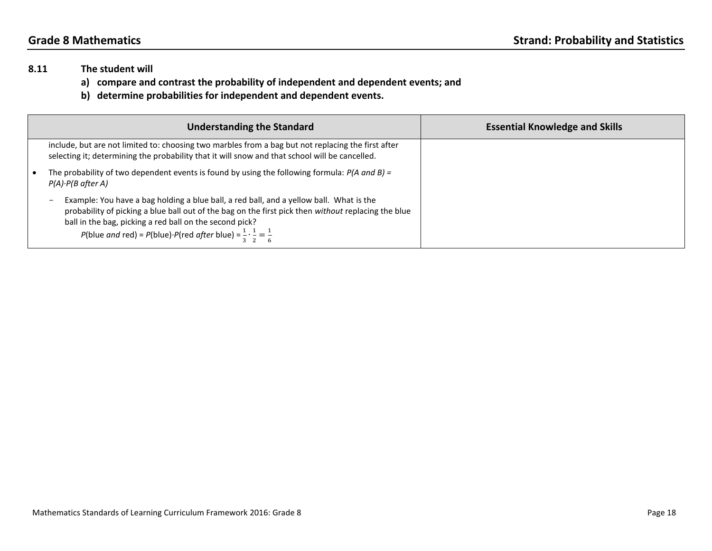- **8.11 The student will** 
	- **a) compare and contrast the probability of independent and dependent events; and**
	- **b) determine probabilities for independent and dependent events.**

| <b>Understanding the Standard</b>                                                                                                                                                                                                                                                                                                                        | <b>Essential Knowledge and Skills</b> |
|----------------------------------------------------------------------------------------------------------------------------------------------------------------------------------------------------------------------------------------------------------------------------------------------------------------------------------------------------------|---------------------------------------|
| include, but are not limited to: choosing two marbles from a bag but not replacing the first after<br>selecting it; determining the probability that it will snow and that school will be cancelled.                                                                                                                                                     |                                       |
| The probability of two dependent events is found by using the following formula: $P(A \text{ and } B) =$<br>$P(A) \cdot P(B \text{ after } A)$                                                                                                                                                                                                           |                                       |
| Example: You have a bag holding a blue ball, a red ball, and a yellow ball. What is the<br>probability of picking a blue ball out of the bag on the first pick then without replacing the blue<br>ball in the bag, picking a red ball on the second pick?<br>P(blue and red) = P(blue) P(red after blue) = $\frac{1}{3} \cdot \frac{1}{2} = \frac{1}{6}$ |                                       |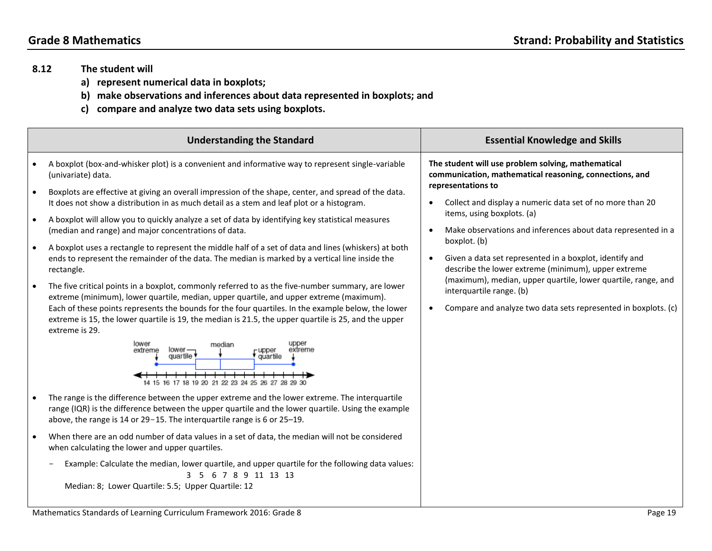- **8.12 The student will** 
	- **a) represent numerical data in boxplots;**
	- **b) make observations and inferences about data represented in boxplots; and**
	- **c) compare and analyze two data sets using boxplots.**

| <b>Understanding the Standard</b>                                                                                                                                                                                                                                                                                                                                                                                            | <b>Essential Knowledge and Skills</b>                                                                                                                       |
|------------------------------------------------------------------------------------------------------------------------------------------------------------------------------------------------------------------------------------------------------------------------------------------------------------------------------------------------------------------------------------------------------------------------------|-------------------------------------------------------------------------------------------------------------------------------------------------------------|
| A boxplot (box-and-whisker plot) is a convenient and informative way to represent single-variable<br>(univariate) data.                                                                                                                                                                                                                                                                                                      | The student will use problem solving, mathematical<br>communication, mathematical reasoning, connections, and                                               |
| Boxplots are effective at giving an overall impression of the shape, center, and spread of the data.<br>It does not show a distribution in as much detail as a stem and leaf plot or a histogram.                                                                                                                                                                                                                            | representations to<br>Collect and display a numeric data set of no more than 20<br>items, using boxplots. (a)                                               |
| A boxplot will allow you to quickly analyze a set of data by identifying key statistical measures<br>(median and range) and major concentrations of data.                                                                                                                                                                                                                                                                    | Make observations and inferences about data represented in a<br>$\bullet$<br>boxplot. (b)                                                                   |
| A boxplot uses a rectangle to represent the middle half of a set of data and lines (whiskers) at both<br>ends to represent the remainder of the data. The median is marked by a vertical line inside the<br>rectangle.                                                                                                                                                                                                       | Given a data set represented in a boxplot, identify and<br>$\bullet$<br>describe the lower extreme (minimum), upper extreme                                 |
| The five critical points in a boxplot, commonly referred to as the five-number summary, are lower<br>extreme (minimum), lower quartile, median, upper quartile, and upper extreme (maximum).<br>Each of these points represents the bounds for the four quartiles. In the example below, the lower<br>extreme is 15, the lower quartile is 19, the median is 21.5, the upper quartile is 25, and the upper<br>extreme is 29. | (maximum), median, upper quartile, lower quartile, range, and<br>interquartile range. (b)<br>Compare and analyze two data sets represented in boxplots. (c) |
| lower<br>median<br>extreme<br>lower-<br>extreme<br>-upper<br>quartile '<br>quartile                                                                                                                                                                                                                                                                                                                                          |                                                                                                                                                             |
| The range is the difference between the upper extreme and the lower extreme. The interquartile<br>range (IQR) is the difference between the upper quartile and the lower quartile. Using the example<br>above, the range is 14 or 29-15. The interquartile range is 6 or 25-19.                                                                                                                                              |                                                                                                                                                             |
| When there are an odd number of data values in a set of data, the median will not be considered<br>when calculating the lower and upper quartiles.                                                                                                                                                                                                                                                                           |                                                                                                                                                             |
| Example: Calculate the median, lower quartile, and upper quartile for the following data values:<br>3 5 6 7 8 9 11 13 13<br>Median: 8; Lower Quartile: 5.5; Upper Quartile: 12                                                                                                                                                                                                                                               |                                                                                                                                                             |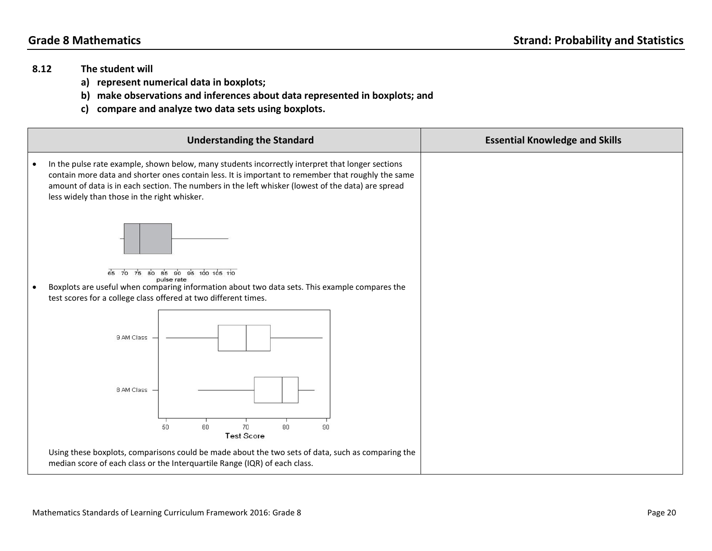- **8.12 The student will** 
	- **a) represent numerical data in boxplots;**
	- **b) make observations and inferences about data represented in boxplots; and**
	- **c) compare and analyze two data sets using boxplots.**

| <b>Understanding the Standard</b>                                                                                                                                                                                                                                                                                                                                         | <b>Essential Knowledge and Skills</b> |
|---------------------------------------------------------------------------------------------------------------------------------------------------------------------------------------------------------------------------------------------------------------------------------------------------------------------------------------------------------------------------|---------------------------------------|
| In the pulse rate example, shown below, many students incorrectly interpret that longer sections<br>$\bullet$<br>contain more data and shorter ones contain less. It is important to remember that roughly the same<br>amount of data is in each section. The numbers in the left whisker (lowest of the data) are spread<br>less widely than those in the right whisker. |                                       |
|                                                                                                                                                                                                                                                                                                                                                                           |                                       |
| 70 75 80 85 90 95 100 105 110<br>65<br>pulse rate                                                                                                                                                                                                                                                                                                                         |                                       |
| Boxplots are useful when comparing information about two data sets. This example compares the<br>$\bullet$                                                                                                                                                                                                                                                                |                                       |
| test scores for a college class offered at two different times.                                                                                                                                                                                                                                                                                                           |                                       |
| 9 AM Class                                                                                                                                                                                                                                                                                                                                                                |                                       |
| 8 AM Class                                                                                                                                                                                                                                                                                                                                                                |                                       |
| 50<br>70<br>80<br>60<br>90<br><b>Test Score</b>                                                                                                                                                                                                                                                                                                                           |                                       |
| Using these boxplots, comparisons could be made about the two sets of data, such as comparing the<br>median score of each class or the Interquartile Range (IQR) of each class.                                                                                                                                                                                           |                                       |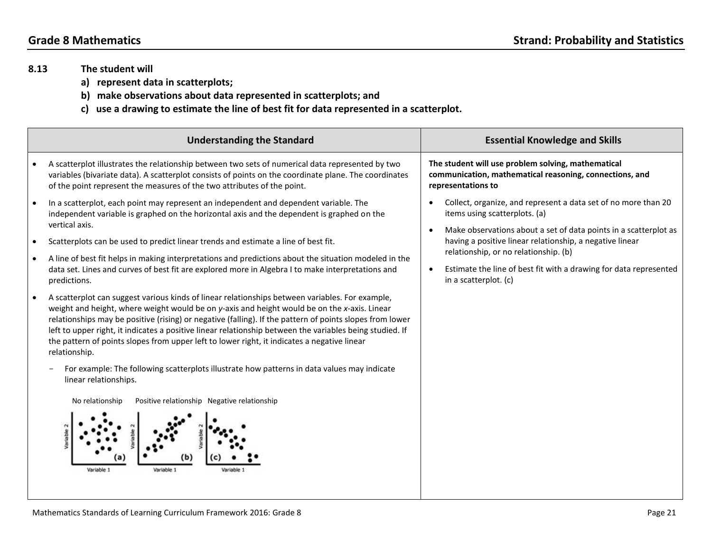- **8.13 The student will**
	- **a) represent data in scatterplots;**
	- **b) make observations about data represented in scatterplots; and**
	- **c) use a drawing to estimate the line of best fit for data represented in a scatterplot.**

| <b>Understanding the Standard</b>                                                                                                                                                                                                                                                                                                                                                                                                                                                                                                                                                                                                                                                                                                                                                                                                                                                                                                                                                                                                                                                                                                                                                                                                                              | <b>Essential Knowledge and Skills</b>                                                                                                                                                                                                                                                                                                                                                    |
|----------------------------------------------------------------------------------------------------------------------------------------------------------------------------------------------------------------------------------------------------------------------------------------------------------------------------------------------------------------------------------------------------------------------------------------------------------------------------------------------------------------------------------------------------------------------------------------------------------------------------------------------------------------------------------------------------------------------------------------------------------------------------------------------------------------------------------------------------------------------------------------------------------------------------------------------------------------------------------------------------------------------------------------------------------------------------------------------------------------------------------------------------------------------------------------------------------------------------------------------------------------|------------------------------------------------------------------------------------------------------------------------------------------------------------------------------------------------------------------------------------------------------------------------------------------------------------------------------------------------------------------------------------------|
| A scatterplot illustrates the relationship between two sets of numerical data represented by two<br>variables (bivariate data). A scatterplot consists of points on the coordinate plane. The coordinates<br>of the point represent the measures of the two attributes of the point.                                                                                                                                                                                                                                                                                                                                                                                                                                                                                                                                                                                                                                                                                                                                                                                                                                                                                                                                                                           | The student will use problem solving, mathematical<br>communication, mathematical reasoning, connections, and<br>representations to                                                                                                                                                                                                                                                      |
| In a scatterplot, each point may represent an independent and dependent variable. The<br>independent variable is graphed on the horizontal axis and the dependent is graphed on the<br>vertical axis.<br>Scatterplots can be used to predict linear trends and estimate a line of best fit.<br>A line of best fit helps in making interpretations and predictions about the situation modeled in the<br>data set. Lines and curves of best fit are explored more in Algebra I to make interpretations and<br>predictions.<br>A scatterplot can suggest various kinds of linear relationships between variables. For example,<br>weight and height, where weight would be on y-axis and height would be on the x-axis. Linear<br>relationships may be positive (rising) or negative (falling). If the pattern of points slopes from lower<br>left to upper right, it indicates a positive linear relationship between the variables being studied. If<br>the pattern of points slopes from upper left to lower right, it indicates a negative linear<br>relationship.<br>For example: The following scatterplots illustrate how patterns in data values may indicate<br>linear relationships.<br>Positive relationship Negative relationship<br>No relationship | Collect, organize, and represent a data set of no more than 20<br>items using scatterplots. (a)<br>Make observations about a set of data points in a scatterplot as<br>O<br>having a positive linear relationship, a negative linear<br>relationship, or no relationship. (b)<br>Estimate the line of best fit with a drawing for data represented<br>$\bullet$<br>in a scatterplot. (c) |
| Variable 1<br>Variable 1<br>Variable :                                                                                                                                                                                                                                                                                                                                                                                                                                                                                                                                                                                                                                                                                                                                                                                                                                                                                                                                                                                                                                                                                                                                                                                                                         |                                                                                                                                                                                                                                                                                                                                                                                          |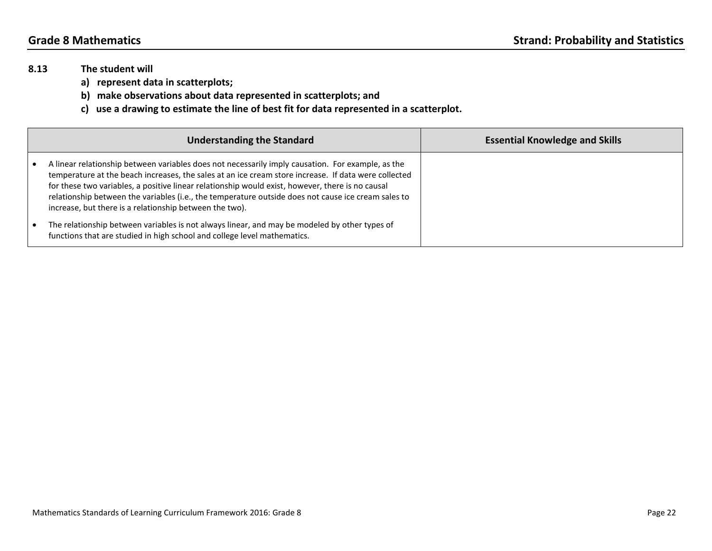- **8.13 The student will**
	- **a) represent data in scatterplots;**
	- **b) make observations about data represented in scatterplots; and**
	- **c) use a drawing to estimate the line of best fit for data represented in a scatterplot.**

| <b>Understanding the Standard</b>                                                                                                                                                                                                                                                                                                                                                                                                                                               | <b>Essential Knowledge and Skills</b> |
|---------------------------------------------------------------------------------------------------------------------------------------------------------------------------------------------------------------------------------------------------------------------------------------------------------------------------------------------------------------------------------------------------------------------------------------------------------------------------------|---------------------------------------|
| A linear relationship between variables does not necessarily imply causation. For example, as the<br>temperature at the beach increases, the sales at an ice cream store increase. If data were collected<br>for these two variables, a positive linear relationship would exist, however, there is no causal<br>relationship between the variables (i.e., the temperature outside does not cause ice cream sales to<br>increase, but there is a relationship between the two). |                                       |
| The relationship between variables is not always linear, and may be modeled by other types of<br>functions that are studied in high school and college level mathematics.                                                                                                                                                                                                                                                                                                       |                                       |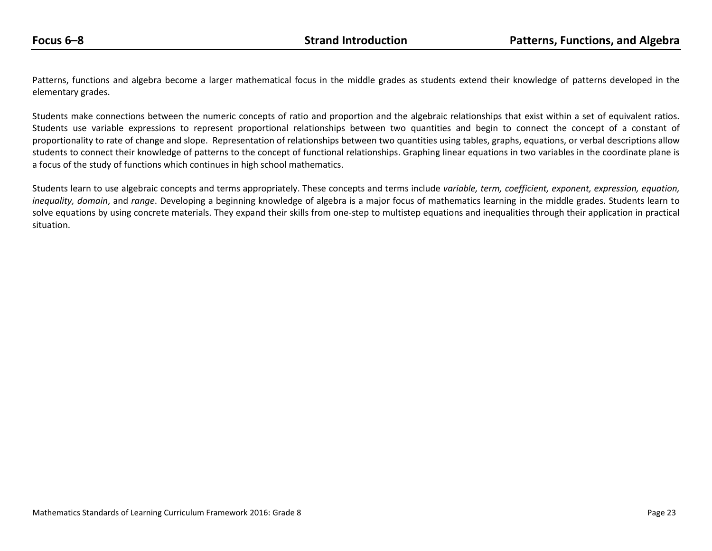Patterns, functions and algebra become a larger mathematical focus in the middle grades as students extend their knowledge of patterns developed in the elementary grades.

Students make connections between the numeric concepts of ratio and proportion and the algebraic relationships that exist within a set of equivalent ratios. Students use variable expressions to represent proportional relationships between two quantities and begin to connect the concept of a constant of proportionality to rate of change and slope. Representation of relationships between two quantities using tables, graphs, equations, or verbal descriptions allow students to connect their knowledge of patterns to the concept of functional relationships. Graphing linear equations in two variables in the coordinate plane is a focus of the study of functions which continues in high school mathematics.

Students learn to use algebraic concepts and terms appropriately. These concepts and terms include *variable, term, coefficient, exponent, expression, equation, inequality, domain*, and *range*. Developing a beginning knowledge of algebra is a major focus of mathematics learning in the middle grades. Students learn to solve equations by using concrete materials. They expand their skills from one-step to multistep equations and inequalities through their application in practical situation.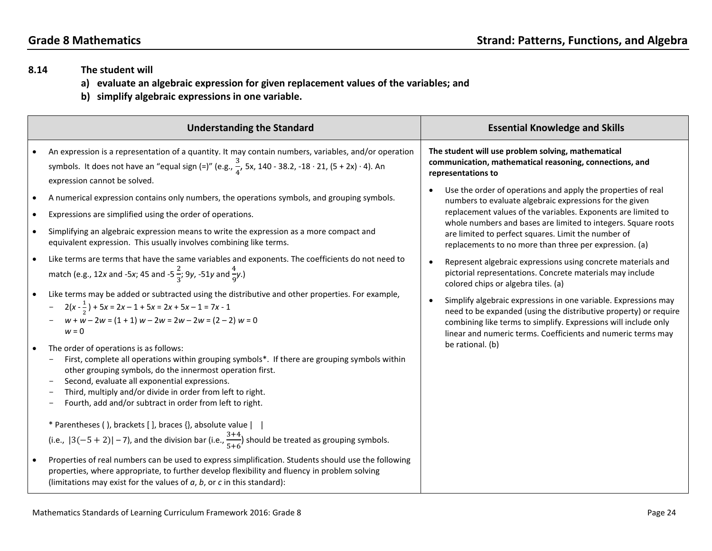- **8.14 The student will**
	- **a) evaluate an algebraic expression for given replacement values of the variables; and**
	- **b) simplify algebraic expressions in one variable.**

|                        | <b>Understanding the Standard</b>                                                                                                                                                                                                                                                                                                                                                                                                                                                                                                                                                                                                                                                                                                                                                                                  | <b>Essential Knowledge and Skills</b>                                                                                                                                                                                                                                                                                                                                                                                                                                                                                                                                                                                                                                                                                                                                                                                                                                                                                                                                                                         |
|------------------------|--------------------------------------------------------------------------------------------------------------------------------------------------------------------------------------------------------------------------------------------------------------------------------------------------------------------------------------------------------------------------------------------------------------------------------------------------------------------------------------------------------------------------------------------------------------------------------------------------------------------------------------------------------------------------------------------------------------------------------------------------------------------------------------------------------------------|---------------------------------------------------------------------------------------------------------------------------------------------------------------------------------------------------------------------------------------------------------------------------------------------------------------------------------------------------------------------------------------------------------------------------------------------------------------------------------------------------------------------------------------------------------------------------------------------------------------------------------------------------------------------------------------------------------------------------------------------------------------------------------------------------------------------------------------------------------------------------------------------------------------------------------------------------------------------------------------------------------------|
| $\bullet$<br>$\bullet$ | An expression is a representation of a quantity. It may contain numbers, variables, and/or operation<br>symbols. It does not have an "equal sign (=)" (e.g., $\frac{3}{4}$ , 5x, 140 - 38.2, -18 · 21, (5 + 2x) · 4). An<br>expression cannot be solved.<br>A numerical expression contains only numbers, the operations symbols, and grouping symbols.<br>Expressions are simplified using the order of operations.<br>Simplifying an algebraic expression means to write the expression as a more compact and                                                                                                                                                                                                                                                                                                    | The student will use problem solving, mathematical<br>communication, mathematical reasoning, connections, and<br>representations to<br>Use the order of operations and apply the properties of real<br>$\bullet$<br>numbers to evaluate algebraic expressions for the given<br>replacement values of the variables. Exponents are limited to<br>whole numbers and bases are limited to integers. Square roots<br>are limited to perfect squares. Limit the number of<br>replacements to no more than three per expression. (a)<br>Represent algebraic expressions using concrete materials and<br>$\bullet$<br>pictorial representations. Concrete materials may include<br>colored chips or algebra tiles. (a)<br>Simplify algebraic expressions in one variable. Expressions may<br>need to be expanded (using the distributive property) or require<br>combining like terms to simplify. Expressions will include only<br>linear and numeric terms. Coefficients and numeric terms may<br>be rational. (b) |
|                        | equivalent expression. This usually involves combining like terms.<br>Like terms are terms that have the same variables and exponents. The coefficients do not need to<br>match (e.g., 12x and -5x; 45 and -5 $\frac{2}{3}$ ; 9y, -51y and $\frac{4}{9}$ y.)<br>Like terms may be added or subtracted using the distributive and other properties. For example,<br>- $2(x-\frac{1}{2})+5x = 2x-1+5x = 2x+5x-1 = 7x-1$<br>$w + w - 2w = (1 + 1) w - 2w = 2w - 2w = (2 - 2) w = 0$<br>$w = 0$<br>The order of operations is as follows:<br>First, complete all operations within grouping symbols*. If there are grouping symbols within<br>other grouping symbols, do the innermost operation first.<br>Second, evaluate all exponential expressions.<br>Third, multiply and/or divide in order from left to right. |                                                                                                                                                                                                                                                                                                                                                                                                                                                                                                                                                                                                                                                                                                                                                                                                                                                                                                                                                                                                               |
|                        | Fourth, add and/or subtract in order from left to right.<br>* Parentheses (), brackets [], braces {}, absolute value  <br>(i.e., $ 3(-5+2) -7$ ), and the division bar (i.e., $\frac{3+4}{5+6}$ ) should be treated as grouping symbols.<br>Properties of real numbers can be used to express simplification. Students should use the following<br>properties, where appropriate, to further develop flexibility and fluency in problem solving<br>(limitations may exist for the values of $a$ , $b$ , or $c$ in this standard):                                                                                                                                                                                                                                                                                  |                                                                                                                                                                                                                                                                                                                                                                                                                                                                                                                                                                                                                                                                                                                                                                                                                                                                                                                                                                                                               |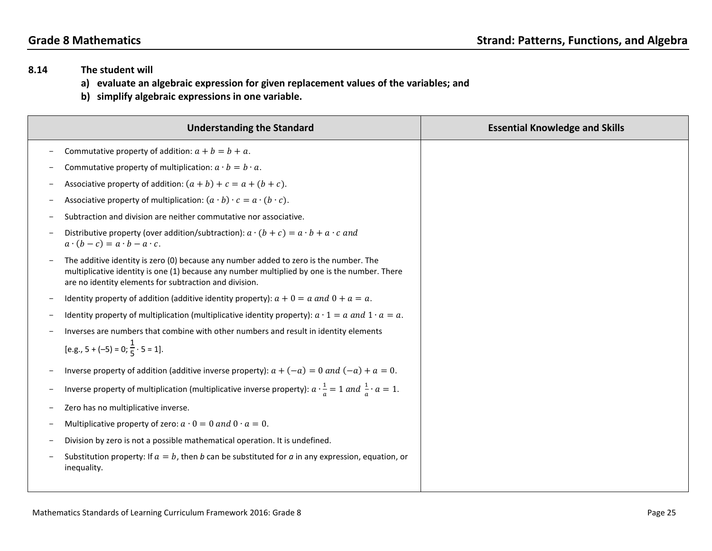- **8.14 The student will**
	- **a) evaluate an algebraic expression for given replacement values of the variables; and**
	- **b) simplify algebraic expressions in one variable.**

|                                  | <b>Understanding the Standard</b>                                                                                                                                                                                                               | <b>Essential Knowledge and Skills</b> |
|----------------------------------|-------------------------------------------------------------------------------------------------------------------------------------------------------------------------------------------------------------------------------------------------|---------------------------------------|
| $\overline{\phantom{0}}$         | Commutative property of addition: $a + b = b + a$ .                                                                                                                                                                                             |                                       |
| $\overline{\phantom{0}}$         | Commutative property of multiplication: $a \cdot b = b \cdot a$ .                                                                                                                                                                               |                                       |
|                                  | Associative property of addition: $(a + b) + c = a + (b + c)$ .                                                                                                                                                                                 |                                       |
| $\overbrace{\phantom{12322111}}$ | Associative property of multiplication: $(a \cdot b) \cdot c = a \cdot (b \cdot c)$ .                                                                                                                                                           |                                       |
|                                  | Subtraction and division are neither commutative nor associative.                                                                                                                                                                               |                                       |
| $\overline{\phantom{0}}$         | Distributive property (over addition/subtraction): $a \cdot (b + c) = a \cdot b + a \cdot c$ and<br>$a \cdot (b - c) = a \cdot b - a \cdot c$ .                                                                                                 |                                       |
|                                  | The additive identity is zero (0) because any number added to zero is the number. The<br>multiplicative identity is one (1) because any number multiplied by one is the number. There<br>are no identity elements for subtraction and division. |                                       |
| $\overline{\phantom{0}}$         | Identity property of addition (additive identity property): $a + 0 = a$ and $0 + a = a$ .                                                                                                                                                       |                                       |
| $\overline{\phantom{0}}$         | Identity property of multiplication (multiplicative identity property): $a \cdot 1 = a$ and $1 \cdot a = a$ .                                                                                                                                   |                                       |
|                                  | Inverses are numbers that combine with other numbers and result in identity elements                                                                                                                                                            |                                       |
|                                  | [e.g., 5 + (-5) = 0; $\frac{1}{5} \cdot 5 = 1$ ].                                                                                                                                                                                               |                                       |
|                                  | Inverse property of addition (additive inverse property): $a + (-a) = 0$ and $(-a) + a = 0$ .                                                                                                                                                   |                                       |
| $\overline{\phantom{0}}$         | Inverse property of multiplication (multiplicative inverse property): $a \cdot \frac{1}{a} = 1$ and $\frac{1}{a} \cdot a = 1$ .                                                                                                                 |                                       |
| $\overline{\phantom{0}}$         | Zero has no multiplicative inverse.                                                                                                                                                                                                             |                                       |
| $\overline{\phantom{0}}$         | Multiplicative property of zero: $a \cdot 0 = 0$ and $0 \cdot a = 0$ .                                                                                                                                                                          |                                       |
| $\overline{\phantom{0}}$         | Division by zero is not a possible mathematical operation. It is undefined.                                                                                                                                                                     |                                       |
| $\overline{\phantom{0}}$         | Substitution property: If $a = b$ , then b can be substituted for a in any expression, equation, or<br>inequality.                                                                                                                              |                                       |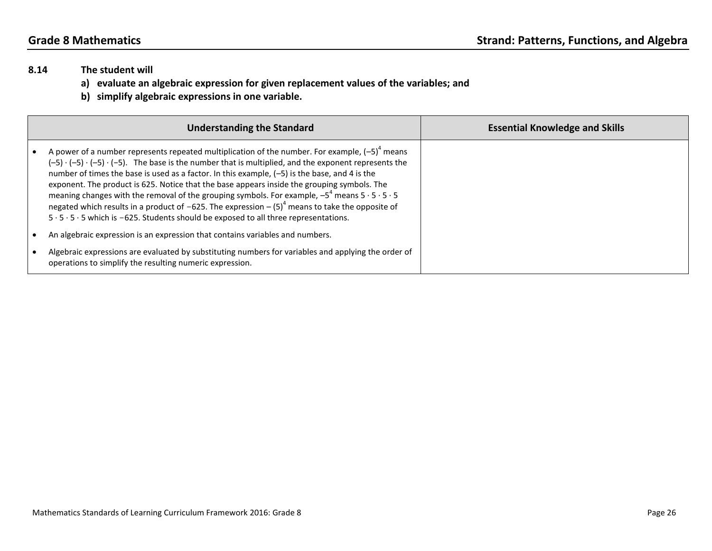- **8.14 The student will**
	- **a) evaluate an algebraic expression for given replacement values of the variables; and**
	- **b) simplify algebraic expressions in one variable.**

| <b>Understanding the Standard</b>                                                                                                                                                                                                                                                                                                                                                                                                                                                                                                                                                                                                                                                                                                                         | <b>Essential Knowledge and Skills</b> |
|-----------------------------------------------------------------------------------------------------------------------------------------------------------------------------------------------------------------------------------------------------------------------------------------------------------------------------------------------------------------------------------------------------------------------------------------------------------------------------------------------------------------------------------------------------------------------------------------------------------------------------------------------------------------------------------------------------------------------------------------------------------|---------------------------------------|
| A power of a number represents repeated multiplication of the number. For example, $(-5)^4$ means<br>$(-5) \cdot (-5) \cdot (-5) \cdot (-5)$ . The base is the number that is multiplied, and the exponent represents the<br>number of times the base is used as a factor. In this example, (-5) is the base, and 4 is the<br>exponent. The product is 625. Notice that the base appears inside the grouping symbols. The<br>meaning changes with the removal of the grouping symbols. For example, $-5^4$ means $5 \cdot 5 \cdot 5 \cdot 5$<br>negated which results in a product of -625. The expression - $(5)^4$ means to take the opposite of<br>$5 \cdot 5 \cdot 5 \cdot 5$ which is -625. Students should be exposed to all three representations. |                                       |
| An algebraic expression is an expression that contains variables and numbers.                                                                                                                                                                                                                                                                                                                                                                                                                                                                                                                                                                                                                                                                             |                                       |
| Algebraic expressions are evaluated by substituting numbers for variables and applying the order of<br>operations to simplify the resulting numeric expression.                                                                                                                                                                                                                                                                                                                                                                                                                                                                                                                                                                                           |                                       |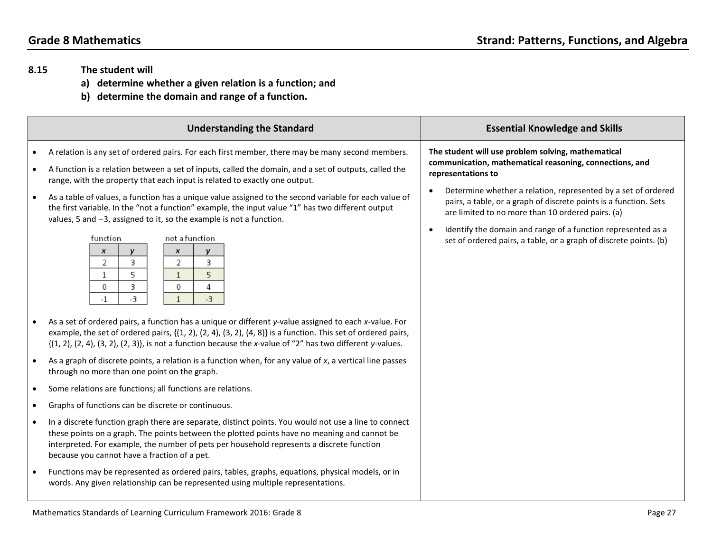- **8.15 The student will**
	- **a) determine whether a given relation is a function; and**
	- **b) determine the domain and range of a function.**

|                                     | <b>Understanding the Standard</b>                                                                                                                                                                                                                                                                                                                                                                                                                                                                                                                                                                                                                                                                                                 | <b>Essential Knowledge and Skills</b>                                                                                                                                                                                                                                                                                                                                                                                                                               |
|-------------------------------------|-----------------------------------------------------------------------------------------------------------------------------------------------------------------------------------------------------------------------------------------------------------------------------------------------------------------------------------------------------------------------------------------------------------------------------------------------------------------------------------------------------------------------------------------------------------------------------------------------------------------------------------------------------------------------------------------------------------------------------------|---------------------------------------------------------------------------------------------------------------------------------------------------------------------------------------------------------------------------------------------------------------------------------------------------------------------------------------------------------------------------------------------------------------------------------------------------------------------|
| $\bullet$<br>$\bullet$<br>$\bullet$ | A relation is any set of ordered pairs. For each first member, there may be many second members.<br>A function is a relation between a set of inputs, called the domain, and a set of outputs, called the<br>range, with the property that each input is related to exactly one output.<br>As a table of values, a function has a unique value assigned to the second variable for each value of<br>the first variable. In the "not a function" example, the input value "1" has two different output<br>values, 5 and $-3$ , assigned to it, so the example is not a function.<br>function<br>not a function<br>x<br>ν<br>X<br>2<br>3<br>2<br>3<br>5<br>5.<br>1<br>1<br>0<br>3<br>0<br>4<br>$-3$<br>$-1$<br>$-3$<br>$\mathbf{1}$ | The student will use problem solving, mathematical<br>communication, mathematical reasoning, connections, and<br>representations to<br>Determine whether a relation, represented by a set of ordered<br>pairs, a table, or a graph of discrete points is a function. Sets<br>are limited to no more than 10 ordered pairs. (a)<br>Identify the domain and range of a function represented as a<br>set of ordered pairs, a table, or a graph of discrete points. (b) |
|                                     | As a set of ordered pairs, a function has a unique or different y-value assigned to each x-value. For<br>example, the set of ordered pairs, $\{(1, 2), (2, 4), (3, 2), (4, 8)\}$ is a function. This set of ordered pairs,<br>$\{(1, 2), (2, 4), (3, 2), (2, 3)\}\$ , is not a function because the x-value of "2" has two different y-values.                                                                                                                                                                                                                                                                                                                                                                                    |                                                                                                                                                                                                                                                                                                                                                                                                                                                                     |
| $\bullet$                           | As a graph of discrete points, a relation is a function when, for any value of $x$ , a vertical line passes<br>through no more than one point on the graph.                                                                                                                                                                                                                                                                                                                                                                                                                                                                                                                                                                       |                                                                                                                                                                                                                                                                                                                                                                                                                                                                     |
| $\bullet$                           | Some relations are functions; all functions are relations.                                                                                                                                                                                                                                                                                                                                                                                                                                                                                                                                                                                                                                                                        |                                                                                                                                                                                                                                                                                                                                                                                                                                                                     |
| $\bullet$                           | Graphs of functions can be discrete or continuous.                                                                                                                                                                                                                                                                                                                                                                                                                                                                                                                                                                                                                                                                                |                                                                                                                                                                                                                                                                                                                                                                                                                                                                     |
| $\bullet$                           | In a discrete function graph there are separate, distinct points. You would not use a line to connect<br>these points on a graph. The points between the plotted points have no meaning and cannot be<br>interpreted. For example, the number of pets per household represents a discrete function<br>because you cannot have a fraction of a pet.                                                                                                                                                                                                                                                                                                                                                                                |                                                                                                                                                                                                                                                                                                                                                                                                                                                                     |
|                                     | Functions may be represented as ordered pairs, tables, graphs, equations, physical models, or in<br>words. Any given relationship can be represented using multiple representations.                                                                                                                                                                                                                                                                                                                                                                                                                                                                                                                                              |                                                                                                                                                                                                                                                                                                                                                                                                                                                                     |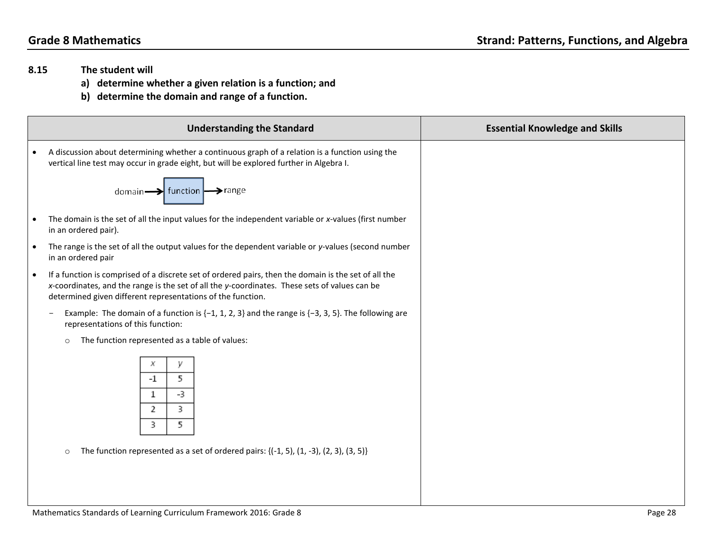- **8.15 The student will**
	- **a) determine whether a given relation is a function; and**
	- **b) determine the domain and range of a function.**

|           | <b>Understanding the Standard</b>                                                                                                                                                                                                                                    | <b>Essential Knowledge and Skills</b> |
|-----------|----------------------------------------------------------------------------------------------------------------------------------------------------------------------------------------------------------------------------------------------------------------------|---------------------------------------|
| $\bullet$ | A discussion about determining whether a continuous graph of a relation is a function using the<br>vertical line test may occur in grade eight, but will be explored further in Algebra I.                                                                           |                                       |
|           | $\rightarrow$ range<br>domain $\rightarrow$ function                                                                                                                                                                                                                 |                                       |
|           | The domain is the set of all the input values for the independent variable or x-values (first number<br>in an ordered pair).                                                                                                                                         |                                       |
| $\bullet$ | The range is the set of all the output values for the dependent variable or y-values (second number<br>in an ordered pair                                                                                                                                            |                                       |
| $\bullet$ | If a function is comprised of a discrete set of ordered pairs, then the domain is the set of all the<br>x-coordinates, and the range is the set of all the y-coordinates. These sets of values can be<br>determined given different representations of the function. |                                       |
|           | Example: The domain of a function is $\{-1, 1, 2, 3\}$ and the range is $\{-3, 3, 5\}$ . The following are<br>representations of this function:                                                                                                                      |                                       |
|           | The function represented as a table of values:<br>$\Omega$                                                                                                                                                                                                           |                                       |
|           | Х<br>ν<br>5<br>$-1$<br>1<br>-3<br>3<br>2<br>3<br>5<br>The function represented as a set of ordered pairs: $\{(-1, 5), (1, -3), (2, 3), (3, 5)\}$<br>$\circ$                                                                                                          |                                       |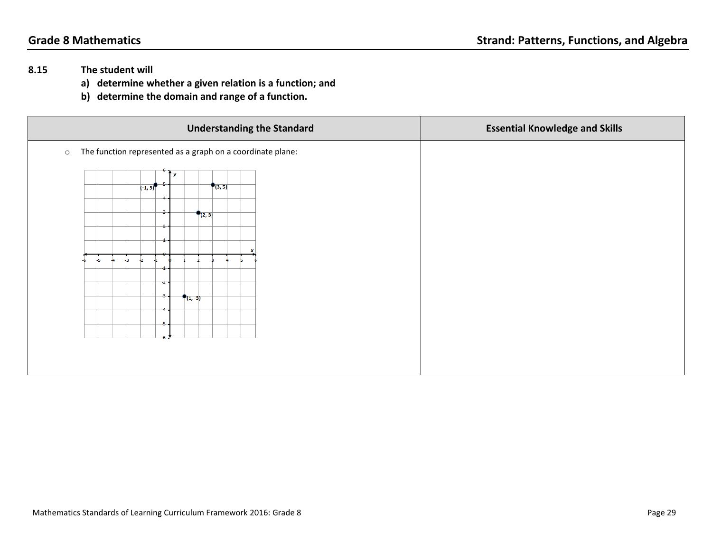- **8.15 The student will**
	- **a) determine whether a given relation is a function; and**
	- **b) determine the domain and range of a function.**

| <b>Understanding the Standard</b>                                     | <b>Essential Knowledge and Skills</b> |
|-----------------------------------------------------------------------|---------------------------------------|
| The function represented as a graph on a coordinate plane:<br>$\circ$ |                                       |
| v<br>$\bullet$ (3, 5)<br>$(-1, 5)$<br>P(2,3)<br>-2                    |                                       |
| $\bullet$ (1, -3)                                                     |                                       |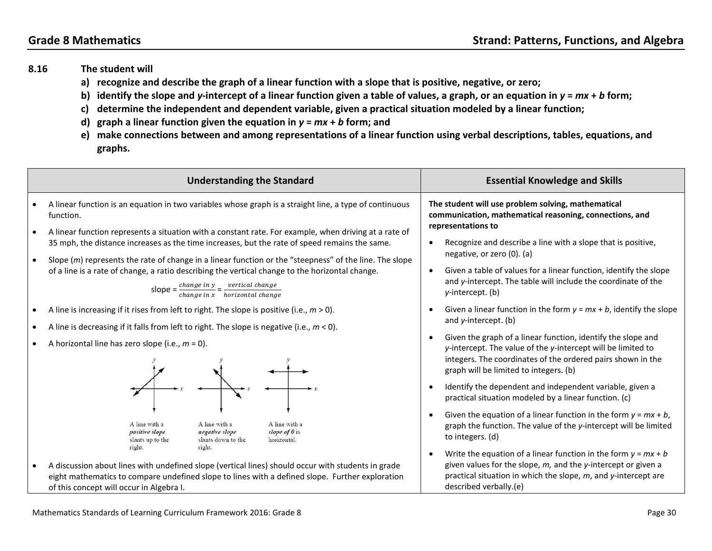- **8.16 The student will** 
	- **a) recognize and describe the graph of a linear function with a slope that is positive, negative, or zero;**
	- **b) identify the slope and** *y***-intercept of a linear function given a table of values, a graph, or an equation in** *y* **=** *mx* **+** *b* **form;**
	- **c) determine the independent and dependent variable, given a practical situation modeled by a linear function;**
	- **d) graph a linear function given the equation in**  $y = mx + b$  **form; and**
	- **e) make connections between and among representations of a linear function using verbal descriptions, tables, equations, and graphs.**

| <b>Understanding the Standard</b>                                                                                                                                                                                                                                                                                  | <b>Essential Knowledge and Skills</b>                                                                                                                                                                                                 |
|--------------------------------------------------------------------------------------------------------------------------------------------------------------------------------------------------------------------------------------------------------------------------------------------------------------------|---------------------------------------------------------------------------------------------------------------------------------------------------------------------------------------------------------------------------------------|
| A linear function is an equation in two variables whose graph is a straight line, a type of continuous<br>function.                                                                                                                                                                                                | The student will use problem solving, mathematical<br>communication, mathematical reasoning, connections, and                                                                                                                         |
| A linear function represents a situation with a constant rate. For example, when driving at a rate of<br>35 mph, the distance increases as the time increases, but the rate of speed remains the same.<br>Slope $(m)$ represents the rate of change in a linear function or the "steepness" of the line. The slope | representations to<br>Recognize and describe a line with a slope that is positive,<br>negative, or zero (0). (a)                                                                                                                      |
| of a line is a rate of change, a ratio describing the vertical change to the horizontal change.<br>$\textsf{slope} = \frac{\textit{change in y}}{\textit{change in x}} = \frac{\textit{vertical change}}{\textit{horizontal change}}$                                                                              | Given a table of values for a linear function, identify the slope<br>$\bullet$<br>and y-intercept. The table will include the coordinate of the<br>y-intercept. (b)                                                                   |
| A line is increasing if it rises from left to right. The slope is positive (i.e., $m > 0$ ).                                                                                                                                                                                                                       | Given a linear function in the form $y = mx + b$ , identify the slope<br>and y-intercept. (b)                                                                                                                                         |
| A line is decreasing if it falls from left to right. The slope is negative (i.e., $m < 0$ ).<br>A horizontal line has zero slope (i.e., $m = 0$ ).                                                                                                                                                                 | Given the graph of a linear function, identify the slope and<br>y-intercept. The value of the y-intercept will be limited to<br>integers. The coordinates of the ordered pairs shown in the<br>graph will be limited to integers. (b) |
|                                                                                                                                                                                                                                                                                                                    | Identify the dependent and independent variable, given a<br>practical situation modeled by a linear function. (c)                                                                                                                     |
| A line with a<br>A line with a<br>A line with a<br>positive slope<br>negative slope<br>slope of $\theta$ is<br>slants up to the<br>slants down to the<br>horizontal.                                                                                                                                               | Given the equation of a linear function in the form $y = mx + b$ ,<br>graph the function. The value of the y-intercept will be limited<br>to integers. (d)                                                                            |
| right.<br>right.<br>A discussion about lines with undefined slope (vertical lines) should occur with students in grade<br>eight mathematics to compare undefined slope to lines with a defined slope. Further exploration<br>of this concept will occur in Algebra I.                                              | Write the equation of a linear function in the form $y = mx + b$<br>given values for the slope, m, and the y-intercept or given a<br>practical situation in which the slope, $m$ , and y-intercept are<br>described verbally.(e)      |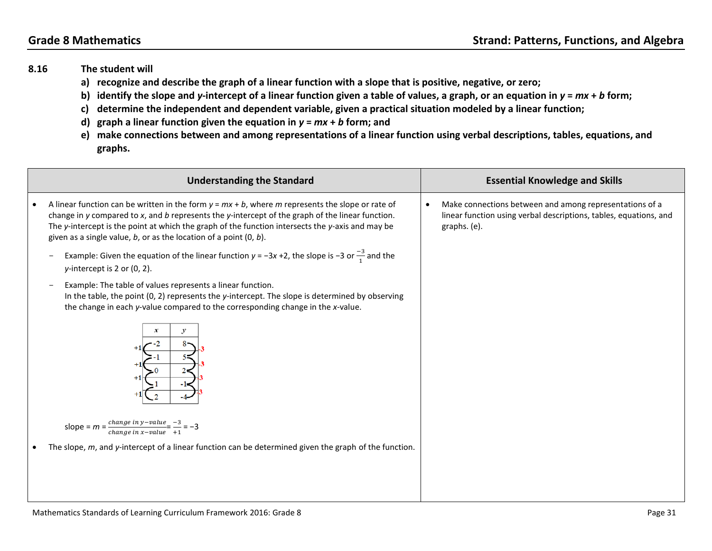- **8.16 The student will** 
	- **a) recognize and describe the graph of a linear function with a slope that is positive, negative, or zero;**
	- **b) identify the slope and** *y***-intercept of a linear function given a table of values, a graph, or an equation in** *y* **=** *mx* **+** *b* **form;**
	- **c) determine the independent and dependent variable, given a practical situation modeled by a linear function;**
	- **d) graph a linear function given the equation in**  $y = mx + b$  **form; and**
	- **e) make connections between and among representations of a linear function using verbal descriptions, tables, equations, and graphs.**

| <b>Understanding the Standard</b>                                                                                                                                                                                                                                                                                                                                                                | <b>Essential Knowledge and Skills</b>                                                                                                                     |
|--------------------------------------------------------------------------------------------------------------------------------------------------------------------------------------------------------------------------------------------------------------------------------------------------------------------------------------------------------------------------------------------------|-----------------------------------------------------------------------------------------------------------------------------------------------------------|
| A linear function can be written in the form $y = mx + b$ , where m represents the slope or rate of<br>change in $y$ compared to $x$ , and $b$ represents the $y$ -intercept of the graph of the linear function.<br>The y-intercept is the point at which the graph of the function intersects the y-axis and may be<br>given as a single value, $b$ , or as the location of a point $(0, b)$ . | Make connections between and among representations of a<br>$\bullet$<br>linear function using verbal descriptions, tables, equations, and<br>graphs. (e). |
| Example: Given the equation of the linear function $y = -3x + 2$ , the slope is -3 or $\frac{-3}{1}$ and the<br>$y$ -intercept is 2 or $(0, 2)$ .                                                                                                                                                                                                                                                |                                                                                                                                                           |
| Example: The table of values represents a linear function.<br>In the table, the point $(0, 2)$ represents the y-intercept. The slope is determined by observing<br>the change in each y-value compared to the corresponding change in the x-value.                                                                                                                                               |                                                                                                                                                           |
|                                                                                                                                                                                                                                                                                                                                                                                                  |                                                                                                                                                           |
| $\text{slope} = m = \frac{change\ in\ y-value}{change\ in\ x-value} = \frac{-3}{+1} = -3$                                                                                                                                                                                                                                                                                                        |                                                                                                                                                           |
| The slope, m, and y-intercept of a linear function can be determined given the graph of the function.                                                                                                                                                                                                                                                                                            |                                                                                                                                                           |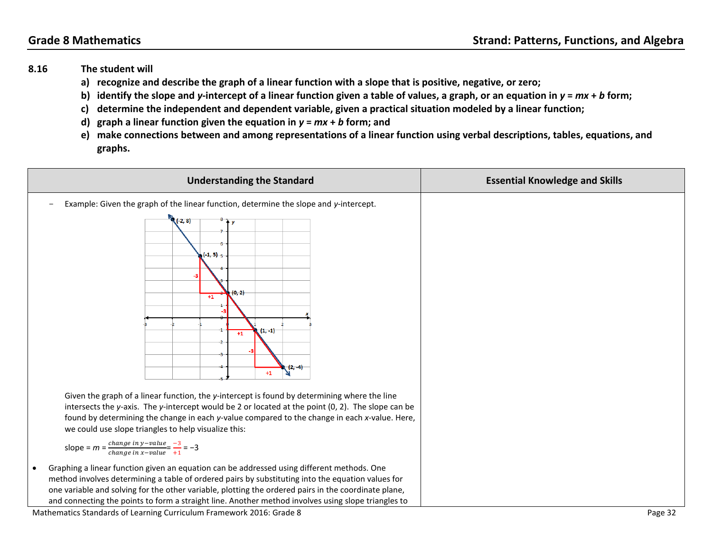- **8.16 The student will** 
	- **a) recognize and describe the graph of a linear function with a slope that is positive, negative, or zero;**
	- **b) identify the slope and** *y***-intercept of a linear function given a table of values, a graph, or an equation in** *y* **=** *mx* **+** *b* **form;**
	- **c) determine the independent and dependent variable, given a practical situation modeled by a linear function;**
	- **d) graph a linear function given the equation in**  $y = mx + b$  **form; and**
	- **e) make connections between and among representations of a linear function using verbal descriptions, tables, equations, and graphs.**

|   | <b>Understanding the Standard</b>                                                                                                                                                                                                                                                                                                                                                                                                                    | <b>Essential Knowledge and Skills</b> |
|---|------------------------------------------------------------------------------------------------------------------------------------------------------------------------------------------------------------------------------------------------------------------------------------------------------------------------------------------------------------------------------------------------------------------------------------------------------|---------------------------------------|
|   | Example: Given the graph of the linear function, determine the slope and y-intercept.                                                                                                                                                                                                                                                                                                                                                                |                                       |
|   | $( -2, 8)$<br>$(1, 5)$ 5<br>(0, 2)<br>$+1$<br>$(1, -1)$<br>$+1$<br>$\binom{2, -4}{ }$<br>$+1$                                                                                                                                                                                                                                                                                                                                                        |                                       |
|   | Given the graph of a linear function, the $y$ -intercept is found by determining where the line<br>intersects the y-axis. The y-intercept would be 2 or located at the point (0, 2). The slope can be<br>found by determining the change in each y-value compared to the change in each x-value. Here,<br>we could use slope triangles to help visualize this:<br>slope = $m = \frac{change\ in\ y-value}{change\ in\ x-value} = \frac{-3}{+1} = -3$ |                                       |
| ٠ | Graphing a linear function given an equation can be addressed using different methods. One<br>method involves determining a table of ordered pairs by substituting into the equation values for<br>one variable and solving for the other variable, plotting the ordered pairs in the coordinate plane,<br>and connecting the points to form a straight line. Another method involves using slope triangles to                                       |                                       |

Mathematics Standards of Learning Curriculum Framework 2016: Grade 8 Page 32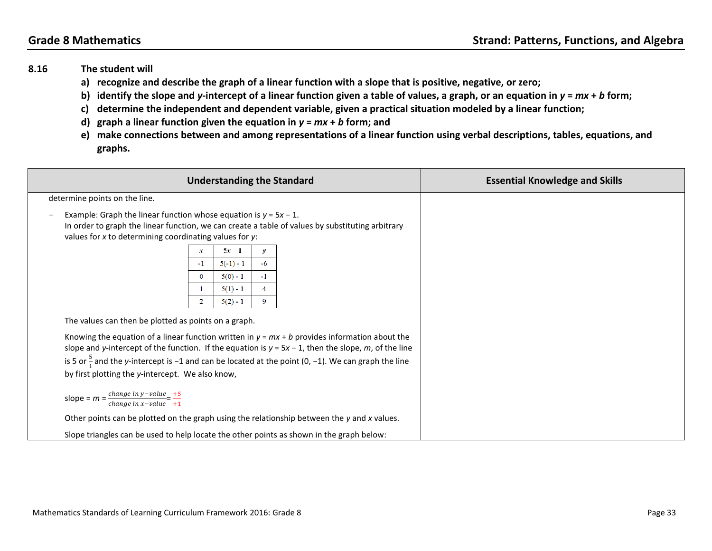- **8.16 The student will** 
	- **a) recognize and describe the graph of a linear function with a slope that is positive, negative, or zero;**
	- **b) identify the slope and** *y***-intercept of a linear function given a table of values, a graph, or an equation in** *y* **=** *mx* **+** *b* **form;**
	- **c) determine the independent and dependent variable, given a practical situation modeled by a linear function;**
	- **d) graph a linear function given the equation in**  $y = mx + b$  **form; and**
	- **e) make connections between and among representations of a linear function using verbal descriptions, tables, equations, and graphs.**

|                                                                                                                                                                                                                                   |             | <b>Understanding the Standard</b>                                                                                                                                                                           | <b>Essential Knowledge and Skills</b> |
|-----------------------------------------------------------------------------------------------------------------------------------------------------------------------------------------------------------------------------------|-------------|-------------------------------------------------------------------------------------------------------------------------------------------------------------------------------------------------------------|---------------------------------------|
| determine points on the line.                                                                                                                                                                                                     |             |                                                                                                                                                                                                             |                                       |
| Example: Graph the linear function whose equation is $y = 5x - 1$ .<br>In order to graph the linear function, we can create a table of values by substituting arbitrary<br>values for x to determining coordinating values for y: |             |                                                                                                                                                                                                             |                                       |
| $\boldsymbol{x}$                                                                                                                                                                                                                  | $5x-1$      | v                                                                                                                                                                                                           |                                       |
| $-1$                                                                                                                                                                                                                              | $5(-1) - 1$ | -6                                                                                                                                                                                                          |                                       |
| $\Omega$                                                                                                                                                                                                                          | $5(0) - 1$  | -1                                                                                                                                                                                                          |                                       |
|                                                                                                                                                                                                                                   | $5(1) - 1$  |                                                                                                                                                                                                             |                                       |
| 2                                                                                                                                                                                                                                 | $5(2) - 1$  | 9                                                                                                                                                                                                           |                                       |
| The values can then be plotted as points on a graph.                                                                                                                                                                              |             |                                                                                                                                                                                                             |                                       |
|                                                                                                                                                                                                                                   |             | Knowing the equation of a linear function written in $y = mx + b$ provides information about the<br>slope and y-intercept of the function. If the equation is $y = 5x - 1$ , then the slope, m, of the line |                                       |
| is 5 or $\frac{5}{1}$ and the y-intercept is -1 and can be located at the point (0, -1). We can graph the line                                                                                                                    |             |                                                                                                                                                                                                             |                                       |
| by first plotting the y-intercept. We also know,                                                                                                                                                                                  |             |                                                                                                                                                                                                             |                                       |
| slope = $m = \frac{change\ in\ y-value}{change\ in\ x-value} = \frac{+5}{+1}$                                                                                                                                                     |             |                                                                                                                                                                                                             |                                       |
| Other points can be plotted on the graph using the relationship between the $y$ and $x$ values.                                                                                                                                   |             |                                                                                                                                                                                                             |                                       |
| Slope triangles can be used to help locate the other points as shown in the graph below:                                                                                                                                          |             |                                                                                                                                                                                                             |                                       |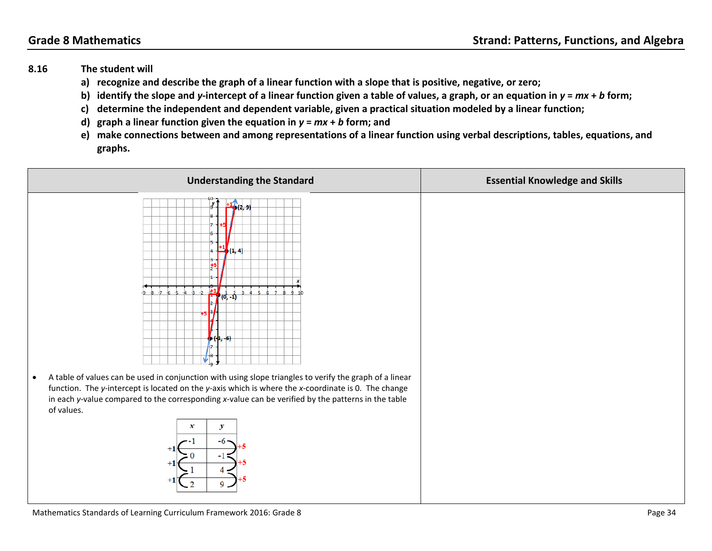- **8.16 The student will** 
	- **a) recognize and describe the graph of a linear function with a slope that is positive, negative, or zero;**
	- **b) identify the slope and** *y***-intercept of a linear function given a table of values, a graph, or an equation in** *y* **=** *mx* **+** *b* **form;**
	- **c) determine the independent and dependent variable, given a practical situation modeled by a linear function;**
	- **d) graph a linear function given the equation in**  $y = mx + b$  **form; and**
	- **e) make connections between and among representations of a linear function using verbal descriptions, tables, equations, and graphs.**

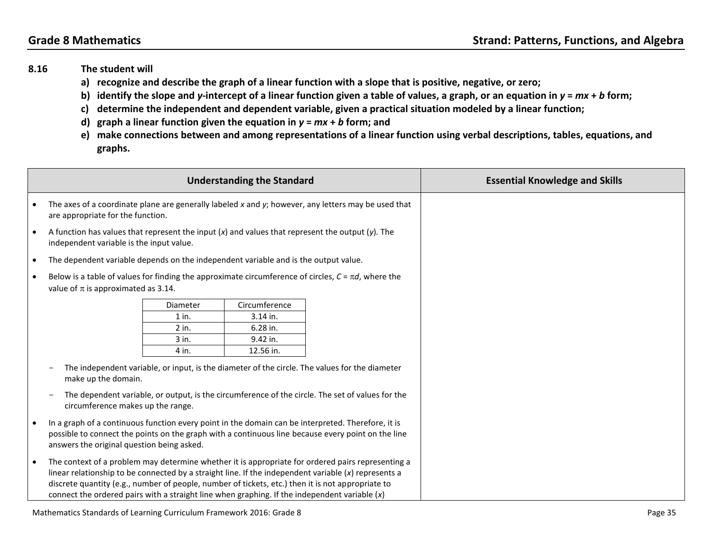- **8.16 The student will** 
	- **a) recognize and describe the graph of a linear function with a slope that is positive, negative, or zero;**
	- **b) identify the slope and** *y***-intercept of a linear function given a table of values, a graph, or an equation in** *y* **=** *mx* **+** *b* **form;**
	- **c) determine the independent and dependent variable, given a practical situation modeled by a linear function;**
	- **d) graph a linear function given the equation in**  $y = mx + b$  **form; and**
	- **e) make connections between and among representations of a linear function using verbal descriptions, tables, equations, and graphs.**

|                                                                                                                                                                                                                                                        | <b>Understanding the Standard</b>                                                                                                                                                                                                                                                                                                                                                                                   |          |                                                                                                |                                                                                                  | <b>Essential Knowledge and Skills</b> |
|--------------------------------------------------------------------------------------------------------------------------------------------------------------------------------------------------------------------------------------------------------|---------------------------------------------------------------------------------------------------------------------------------------------------------------------------------------------------------------------------------------------------------------------------------------------------------------------------------------------------------------------------------------------------------------------|----------|------------------------------------------------------------------------------------------------|--------------------------------------------------------------------------------------------------|---------------------------------------|
|                                                                                                                                                                                                                                                        | The axes of a coordinate plane are generally labeled $x$ and $y$ ; however, any letters may be used that<br>are appropriate for the function.                                                                                                                                                                                                                                                                       |          |                                                                                                |                                                                                                  |                                       |
|                                                                                                                                                                                                                                                        | A function has values that represent the input $(x)$ and values that represent the output $(y)$ . The<br>independent variable is the input value.                                                                                                                                                                                                                                                                   |          |                                                                                                |                                                                                                  |                                       |
| $\bullet$                                                                                                                                                                                                                                              | The dependent variable depends on the independent variable and is the output value.                                                                                                                                                                                                                                                                                                                                 |          |                                                                                                |                                                                                                  |                                       |
|                                                                                                                                                                                                                                                        | Below is a table of values for finding the approximate circumference of circles, $C = \pi d$ , where the<br>value of $\pi$ is approximated as 3.14.                                                                                                                                                                                                                                                                 |          |                                                                                                |                                                                                                  |                                       |
|                                                                                                                                                                                                                                                        |                                                                                                                                                                                                                                                                                                                                                                                                                     | Diameter | Circumference                                                                                  |                                                                                                  |                                       |
|                                                                                                                                                                                                                                                        |                                                                                                                                                                                                                                                                                                                                                                                                                     | 1 in.    | $3.14$ in.                                                                                     |                                                                                                  |                                       |
|                                                                                                                                                                                                                                                        |                                                                                                                                                                                                                                                                                                                                                                                                                     | 2 in.    | 6.28 in.                                                                                       |                                                                                                  |                                       |
|                                                                                                                                                                                                                                                        |                                                                                                                                                                                                                                                                                                                                                                                                                     | 3 in.    | 9.42 in.                                                                                       |                                                                                                  |                                       |
|                                                                                                                                                                                                                                                        |                                                                                                                                                                                                                                                                                                                                                                                                                     | 4 in.    | 12.56 in.                                                                                      |                                                                                                  |                                       |
|                                                                                                                                                                                                                                                        | make up the domain.                                                                                                                                                                                                                                                                                                                                                                                                 |          | The independent variable, or input, is the diameter of the circle. The values for the diameter |                                                                                                  |                                       |
|                                                                                                                                                                                                                                                        | $\overline{\phantom{0}}$<br>circumference makes up the range.                                                                                                                                                                                                                                                                                                                                                       |          |                                                                                                | The dependent variable, or output, is the circumference of the circle. The set of values for the |                                       |
| In a graph of a continuous function every point in the domain can be interpreted. Therefore, it is<br>possible to connect the points on the graph with a continuous line because every point on the line<br>answers the original question being asked. |                                                                                                                                                                                                                                                                                                                                                                                                                     |          |                                                                                                |                                                                                                  |                                       |
|                                                                                                                                                                                                                                                        | The context of a problem may determine whether it is appropriate for ordered pairs representing a<br>linear relationship to be connected by a straight line. If the independent variable $(x)$ represents a<br>discrete quantity (e.g., number of people, number of tickets, etc.) then it is not appropriate to<br>connect the ordered pairs with a straight line when graphing. If the independent variable $(x)$ |          |                                                                                                |                                                                                                  |                                       |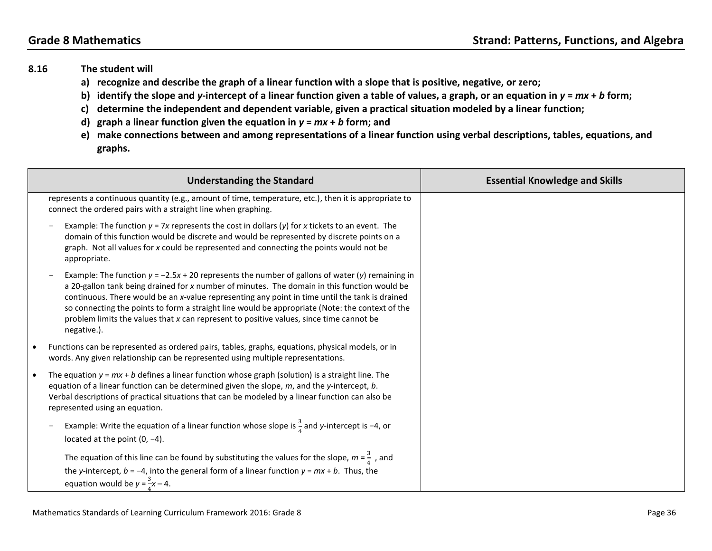- **8.16 The student will** 
	- **a) recognize and describe the graph of a linear function with a slope that is positive, negative, or zero;**
	- **b) identify the slope and** *y***-intercept of a linear function given a table of values, a graph, or an equation in** *y* **=** *mx* **+** *b* **form;**
	- **c) determine the independent and dependent variable, given a practical situation modeled by a linear function;**
	- **d) graph a linear function given the equation in**  $y = mx + b$  **form; and**
	- **e) make connections between and among representations of a linear function using verbal descriptions, tables, equations, and graphs.**

| <b>Understanding the Standard</b>                                                                                                                                                                                                                                                                                                                                                                                                                                                                                | <b>Essential Knowledge and Skills</b> |
|------------------------------------------------------------------------------------------------------------------------------------------------------------------------------------------------------------------------------------------------------------------------------------------------------------------------------------------------------------------------------------------------------------------------------------------------------------------------------------------------------------------|---------------------------------------|
| represents a continuous quantity (e.g., amount of time, temperature, etc.), then it is appropriate to<br>connect the ordered pairs with a straight line when graphing.                                                                                                                                                                                                                                                                                                                                           |                                       |
| Example: The function $y = 7x$ represents the cost in dollars (y) for x tickets to an event. The<br>domain of this function would be discrete and would be represented by discrete points on a<br>graph. Not all values for x could be represented and connecting the points would not be<br>appropriate.                                                                                                                                                                                                        |                                       |
| Example: The function $y = -2.5x + 20$ represents the number of gallons of water (y) remaining in<br>a 20-gallon tank being drained for x number of minutes. The domain in this function would be<br>continuous. There would be an x-value representing any point in time until the tank is drained<br>so connecting the points to form a straight line would be appropriate (Note: the context of the<br>problem limits the values that x can represent to positive values, since time cannot be<br>negative.). |                                       |
| Functions can be represented as ordered pairs, tables, graphs, equations, physical models, or in<br>words. Any given relationship can be represented using multiple representations.                                                                                                                                                                                                                                                                                                                             |                                       |
| The equation $y = mx + b$ defines a linear function whose graph (solution) is a straight line. The<br>equation of a linear function can be determined given the slope, $m$ , and the y-intercept, $b$ .<br>Verbal descriptions of practical situations that can be modeled by a linear function can also be<br>represented using an equation.                                                                                                                                                                    |                                       |
| Example: Write the equation of a linear function whose slope is $\frac{3}{4}$ and y-intercept is -4, or<br>located at the point $(0, -4)$ .                                                                                                                                                                                                                                                                                                                                                                      |                                       |
| The equation of this line can be found by substituting the values for the slope, $m = \frac{3}{4}$ , and<br>the y-intercept, $b = -4$ , into the general form of a linear function $y = mx + b$ . Thus, the<br>equation would be $y = \frac{3}{2}x - 4$ .                                                                                                                                                                                                                                                        |                                       |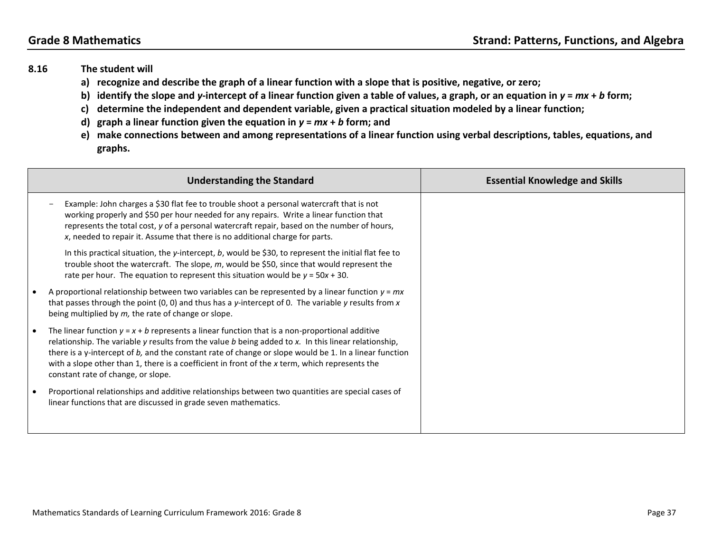- **8.16 The student will** 
	- **a) recognize and describe the graph of a linear function with a slope that is positive, negative, or zero;**
	- **b) identify the slope and** *y***-intercept of a linear function given a table of values, a graph, or an equation in** *y* **=** *mx* **+** *b* **form;**
	- **c) determine the independent and dependent variable, given a practical situation modeled by a linear function;**
	- **d) graph a linear function given the equation in**  $y = mx + b$  **form; and**
	- **e) make connections between and among representations of a linear function using verbal descriptions, tables, equations, and graphs.**

| <b>Understanding the Standard</b>                                                                                                                                                                                                                                                                                                                                                                                                                                 | <b>Essential Knowledge and Skills</b> |
|-------------------------------------------------------------------------------------------------------------------------------------------------------------------------------------------------------------------------------------------------------------------------------------------------------------------------------------------------------------------------------------------------------------------------------------------------------------------|---------------------------------------|
| Example: John charges a \$30 flat fee to trouble shoot a personal watercraft that is not<br>working properly and \$50 per hour needed for any repairs. Write a linear function that<br>represents the total cost, y of a personal watercraft repair, based on the number of hours,<br>x, needed to repair it. Assume that there is no additional charge for parts.                                                                                                |                                       |
| In this practical situation, the y-intercept, $b$ , would be \$30, to represent the initial flat fee to<br>trouble shoot the watercraft. The slope, m, would be \$50, since that would represent the<br>rate per hour. The equation to represent this situation would be $y = 50x + 30$ .                                                                                                                                                                         |                                       |
| A proportional relationship between two variables can be represented by a linear function $y = mx$<br>that passes through the point (0, 0) and thus has a y-intercept of 0. The variable y results from $x$<br>being multiplied by $m$ , the rate of change or slope.                                                                                                                                                                                             |                                       |
| The linear function $y = x + b$ represents a linear function that is a non-proportional additive<br>relationship. The variable $y$ results from the value $b$ being added to $x$ . In this linear relationship,<br>there is a y-intercept of b, and the constant rate of change or slope would be 1. In a linear function<br>with a slope other than 1, there is a coefficient in front of the x term, which represents the<br>constant rate of change, or slope. |                                       |
| Proportional relationships and additive relationships between two quantities are special cases of<br>linear functions that are discussed in grade seven mathematics.                                                                                                                                                                                                                                                                                              |                                       |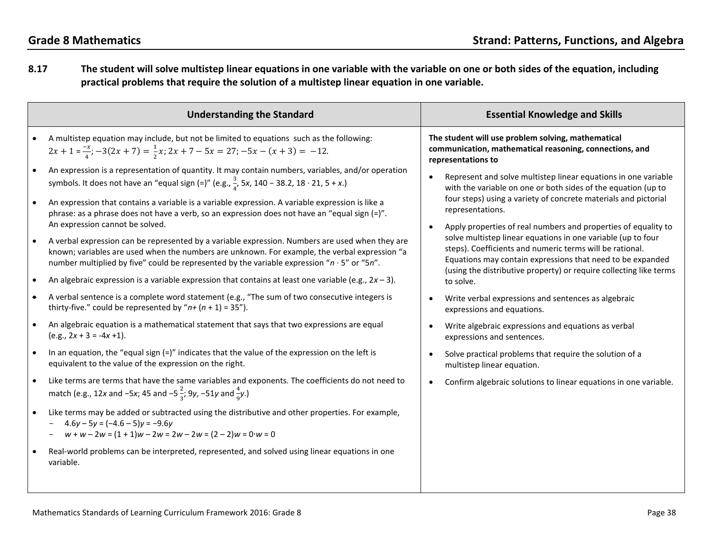**8.17 The student will solve multistep linear equations in one variable with the variable on one or both sides of the equation, including practical problems that require the solution of a multistep linear equation in one variable.**

|           | <b>Understanding the Standard</b>                                                                                                                                                                                                                                                                       | <b>Essential Knowledge and Skills</b>                                                                                                                                                                                                                                                                                          |
|-----------|---------------------------------------------------------------------------------------------------------------------------------------------------------------------------------------------------------------------------------------------------------------------------------------------------------|--------------------------------------------------------------------------------------------------------------------------------------------------------------------------------------------------------------------------------------------------------------------------------------------------------------------------------|
|           | A multistep equation may include, but not be limited to equations such as the following:<br>$2x + 1 = \frac{-x}{4}$ ; $-3(2x + 7) = \frac{1}{2}x$ ; $2x + 7 - 5x = 27$ ; $-5x - (x + 3) = -12$ .                                                                                                        | The student will use problem solving, mathematical<br>communication, mathematical reasoning, connections, and<br>representations to                                                                                                                                                                                            |
|           | An expression is a representation of quantity. It may contain numbers, variables, and/or operation<br>symbols. It does not have an "equal sign (=)" (e.g., $\frac{3}{4}$ , 5x, 140 – 38.2, 18 · 21, 5 + x.)                                                                                             | Represent and solve multistep linear equations in one variable<br>with the variable on one or both sides of the equation (up to                                                                                                                                                                                                |
|           | An expression that contains a variable is a variable expression. A variable expression is like a<br>phrase: as a phrase does not have a verb, so an expression does not have an "equal sign (=)".<br>An expression cannot be solved.                                                                    | four steps) using a variety of concrete materials and pictorial<br>representations.                                                                                                                                                                                                                                            |
|           | A verbal expression can be represented by a variable expression. Numbers are used when they are<br>known; variables are used when the numbers are unknown. For example, the verbal expression "a<br>number multiplied by five" could be represented by the variable expression " $n \cdot 5$ " or "5n". | Apply properties of real numbers and properties of equality to<br>solve multistep linear equations in one variable (up to four<br>steps). Coefficients and numeric terms will be rational.<br>Equations may contain expressions that need to be expanded<br>(using the distributive property) or require collecting like terms |
| $\bullet$ | An algebraic expression is a variable expression that contains at least one variable (e.g., $2x - 3$ ).                                                                                                                                                                                                 | to solve.                                                                                                                                                                                                                                                                                                                      |
|           | A verbal sentence is a complete word statement (e.g., "The sum of two consecutive integers is<br>thirty-five." could be represented by " $n+(n+1) = 35$ ").                                                                                                                                             | Write verbal expressions and sentences as algebraic<br>expressions and equations.                                                                                                                                                                                                                                              |
|           | An algebraic equation is a mathematical statement that says that two expressions are equal<br>$(e.g., 2x + 3 = -4x + 1).$                                                                                                                                                                               | Write algebraic expressions and equations as verbal<br>expressions and sentences.                                                                                                                                                                                                                                              |
| $\bullet$ | In an equation, the "equal sign $(=)$ " indicates that the value of the expression on the left is<br>equivalent to the value of the expression on the right.                                                                                                                                            | Solve practical problems that require the solution of a<br>$\bullet$<br>multistep linear equation.                                                                                                                                                                                                                             |
|           | Like terms are terms that have the same variables and exponents. The coefficients do not need to<br>match (e.g., 12x and -5x; 45 and -5 $\frac{2}{3}$ ; 9y, -51y and $\frac{4}{9}$ y.)                                                                                                                  | Confirm algebraic solutions to linear equations in one variable.                                                                                                                                                                                                                                                               |
|           | Like terms may be added or subtracted using the distributive and other properties. For example,<br>$4.6y - 5y = (-4.6 - 5)y = -9.6y$<br>$w + w - 2w = (1 + 1)w - 2w = 2w - 2w = (2 - 2)w = 0 \cdot w = 0$                                                                                               |                                                                                                                                                                                                                                                                                                                                |
|           | Real-world problems can be interpreted, represented, and solved using linear equations in one<br>variable.                                                                                                                                                                                              |                                                                                                                                                                                                                                                                                                                                |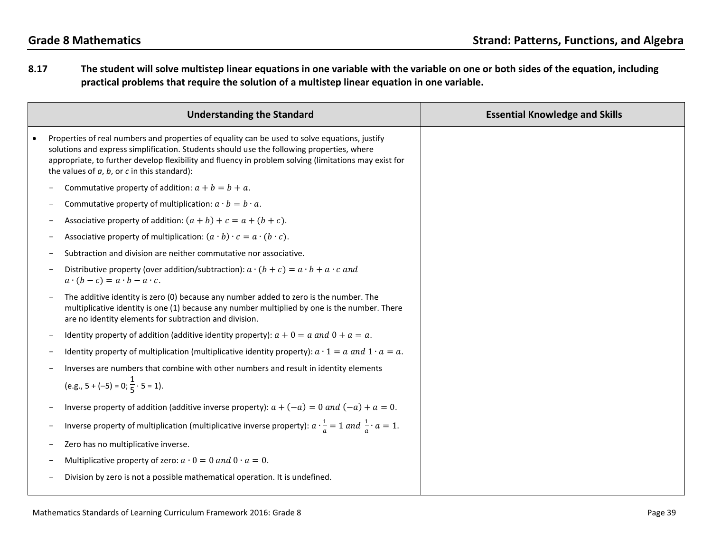**8.17 The student will solve multistep linear equations in one variable with the variable on one or both sides of the equation, including practical problems that require the solution of a multistep linear equation in one variable.**

|                                  | <b>Understanding the Standard</b>                                                                                                                                                                                                                                                                                                                       | <b>Essential Knowledge and Skills</b> |
|----------------------------------|---------------------------------------------------------------------------------------------------------------------------------------------------------------------------------------------------------------------------------------------------------------------------------------------------------------------------------------------------------|---------------------------------------|
|                                  | Properties of real numbers and properties of equality can be used to solve equations, justify<br>solutions and express simplification. Students should use the following properties, where<br>appropriate, to further develop flexibility and fluency in problem solving (limitations may exist for<br>the values of $a, b$ , or $c$ in this standard): |                                       |
|                                  | Commutative property of addition: $a + b = b + a$ .                                                                                                                                                                                                                                                                                                     |                                       |
|                                  | Commutative property of multiplication: $a \cdot b = b \cdot a$ .                                                                                                                                                                                                                                                                                       |                                       |
| $\overbrace{\phantom{12322111}}$ | Associative property of addition: $(a + b) + c = a + (b + c)$ .                                                                                                                                                                                                                                                                                         |                                       |
|                                  | Associative property of multiplication: $(a \cdot b) \cdot c = a \cdot (b \cdot c)$ .                                                                                                                                                                                                                                                                   |                                       |
|                                  | Subtraction and division are neither commutative nor associative.                                                                                                                                                                                                                                                                                       |                                       |
|                                  | Distributive property (over addition/subtraction): $a \cdot (b + c) = a \cdot b + a \cdot c$ and<br>$a \cdot (b - c) = a \cdot b - a \cdot c$ .                                                                                                                                                                                                         |                                       |
|                                  | The additive identity is zero (0) because any number added to zero is the number. The<br>multiplicative identity is one (1) because any number multiplied by one is the number. There<br>are no identity elements for subtraction and division.                                                                                                         |                                       |
|                                  | Identity property of addition (additive identity property): $a + 0 = a$ and $0 + a = a$ .                                                                                                                                                                                                                                                               |                                       |
|                                  | Identity property of multiplication (multiplicative identity property): $a \cdot 1 = a$ and $1 \cdot a = a$ .                                                                                                                                                                                                                                           |                                       |
|                                  | Inverses are numbers that combine with other numbers and result in identity elements                                                                                                                                                                                                                                                                    |                                       |
|                                  | (e.g., $5 + (-5) = 0; \frac{1}{5} \cdot 5 = 1$ ).                                                                                                                                                                                                                                                                                                       |                                       |
|                                  | Inverse property of addition (additive inverse property): $a + (-a) = 0$ and $(-a) + a = 0$ .                                                                                                                                                                                                                                                           |                                       |
|                                  | Inverse property of multiplication (multiplicative inverse property): $a \cdot \frac{1}{a} = 1$ and $\frac{1}{a} \cdot a = 1$ .                                                                                                                                                                                                                         |                                       |
|                                  | Zero has no multiplicative inverse.                                                                                                                                                                                                                                                                                                                     |                                       |
|                                  | Multiplicative property of zero: $a \cdot 0 = 0$ and $0 \cdot a = 0$ .                                                                                                                                                                                                                                                                                  |                                       |
|                                  | Division by zero is not a possible mathematical operation. It is undefined.                                                                                                                                                                                                                                                                             |                                       |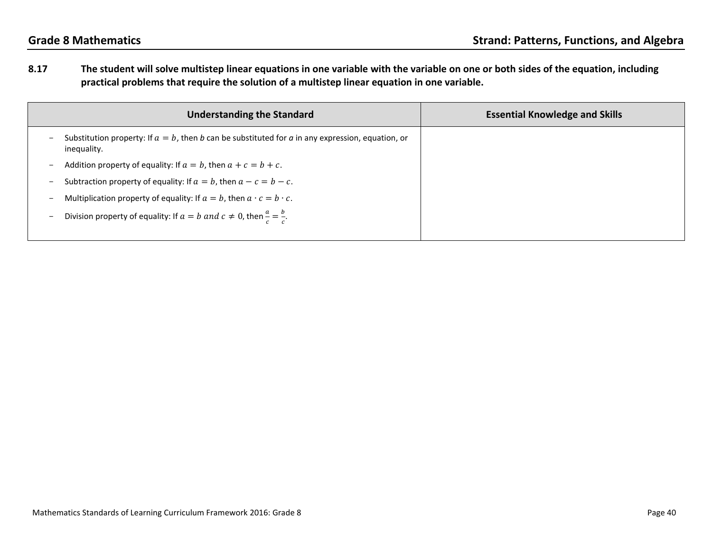**8.17 The student will solve multistep linear equations in one variable with the variable on one or both sides of the equation, including practical problems that require the solution of a multistep linear equation in one variable.**

| <b>Understanding the Standard</b>                                                                                                              | <b>Essential Knowledge and Skills</b> |
|------------------------------------------------------------------------------------------------------------------------------------------------|---------------------------------------|
| Substitution property: If $a = b$ , then b can be substituted for a in any expression, equation, or<br>$\overline{\phantom{0}}$<br>inequality. |                                       |
| Addition property of equality: If $a = b$ , then $a + c = b + c$ .                                                                             |                                       |
| Subtraction property of equality: If $a = b$ , then $a - c = b - c$ .                                                                          |                                       |
| Multiplication property of equality: If $a = b$ , then $a \cdot c = b \cdot c$ .                                                               |                                       |
| Division property of equality: If $a = b$ and $c \neq 0$ , then $\frac{a}{c} = \frac{b}{c}$ .                                                  |                                       |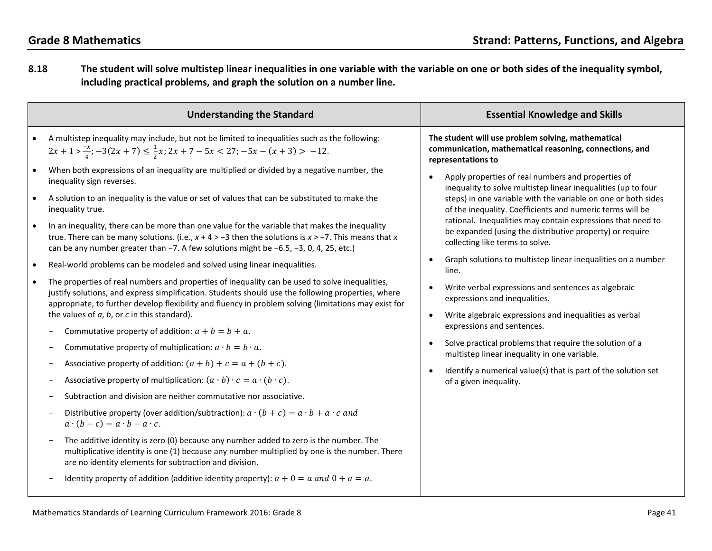**8.18 The student will solve multistep linear inequalities in one variable with the variable on one or both sides of the inequality symbol, including practical problems, and graph the solution on a number line.**

|                                                               | <b>Understanding the Standard</b>                                                                                                                                                                                                                                                                                                                                                                                                                                                                                                                                                                                                                                                                                                                                                                                                                                                                                                                                                                                                                                                                                                                                                                                                                                                                                                                                                                                                                                              | <b>Essential Knowledge and Skills</b>                                                                                                                                                                                                                                                                                                                                                                                                                                                                                                                                                                                                                                                                                                                                                                                                                                                                                                                                  |
|---------------------------------------------------------------|--------------------------------------------------------------------------------------------------------------------------------------------------------------------------------------------------------------------------------------------------------------------------------------------------------------------------------------------------------------------------------------------------------------------------------------------------------------------------------------------------------------------------------------------------------------------------------------------------------------------------------------------------------------------------------------------------------------------------------------------------------------------------------------------------------------------------------------------------------------------------------------------------------------------------------------------------------------------------------------------------------------------------------------------------------------------------------------------------------------------------------------------------------------------------------------------------------------------------------------------------------------------------------------------------------------------------------------------------------------------------------------------------------------------------------------------------------------------------------|------------------------------------------------------------------------------------------------------------------------------------------------------------------------------------------------------------------------------------------------------------------------------------------------------------------------------------------------------------------------------------------------------------------------------------------------------------------------------------------------------------------------------------------------------------------------------------------------------------------------------------------------------------------------------------------------------------------------------------------------------------------------------------------------------------------------------------------------------------------------------------------------------------------------------------------------------------------------|
|                                                               | A multistep inequality may include, but not be limited to inequalities such as the following:<br>$2x + 1 > \frac{-x}{4}$ ; $-3(2x + 7) \le \frac{1}{2}x$ ; $2x + 7 - 5x < 27$ ; $-5x - (x + 3) > -12$ .                                                                                                                                                                                                                                                                                                                                                                                                                                                                                                                                                                                                                                                                                                                                                                                                                                                                                                                                                                                                                                                                                                                                                                                                                                                                        | The student will use problem solving, mathematical<br>communication, mathematical reasoning, connections, and                                                                                                                                                                                                                                                                                                                                                                                                                                                                                                                                                                                                                                                                                                                                                                                                                                                          |
| $\bullet$<br>$\bullet$<br>$\bullet$<br>$\bullet$<br>$\bullet$ | When both expressions of an inequality are multiplied or divided by a negative number, the<br>inequality sign reverses.<br>A solution to an inequality is the value or set of values that can be substituted to make the<br>inequality true.<br>In an inequality, there can be more than one value for the variable that makes the inequality<br>true. There can be many solutions. (i.e., $x + 4 > -3$ then the solutions is $x > -7$ . This means that x<br>can be any number greater than $-7$ . A few solutions might be $-6.5$ , $-3$ , 0, 4, 25, etc.)<br>Real-world problems can be modeled and solved using linear inequalities.<br>The properties of real numbers and properties of inequality can be used to solve inequalities,<br>justify solutions, and express simplification. Students should use the following properties, where<br>appropriate, to further develop flexibility and fluency in problem solving (limitations may exist for<br>the values of $a, b$ , or $c$ in this standard).<br>Commutative property of addition: $a + b = b + a$ .<br>Commutative property of multiplication: $a \cdot b = b \cdot a$ .<br>Associative property of addition: $(a + b) + c = a + (b + c)$ .<br>Associative property of multiplication: $(a \cdot b) \cdot c = a \cdot (b \cdot c)$ .<br>Subtraction and division are neither commutative nor associative.<br>Distributive property (over addition/subtraction): $a \cdot (b + c) = a \cdot b + a \cdot c$ and | representations to<br>Apply properties of real numbers and properties of<br>inequality to solve multistep linear inequalities (up to four<br>steps) in one variable with the variable on one or both sides<br>of the inequality. Coefficients and numeric terms will be<br>rational. Inequalities may contain expressions that need to<br>be expanded (using the distributive property) or require<br>collecting like terms to solve.<br>Graph solutions to multistep linear inequalities on a number<br>$\bullet$<br>line.<br>Write verbal expressions and sentences as algebraic<br>$\bullet$<br>expressions and inequalities.<br>Write algebraic expressions and inequalities as verbal<br>$\bullet$<br>expressions and sentences.<br>Solve practical problems that require the solution of a<br>$\bullet$<br>multistep linear inequality in one variable.<br>Identify a numerical value(s) that is part of the solution set<br>$\bullet$<br>of a given inequality. |
|                                                               | $a \cdot (b - c) = a \cdot b - a \cdot c$ .<br>The additive identity is zero (0) because any number added to zero is the number. The<br>multiplicative identity is one (1) because any number multiplied by one is the number. There<br>are no identity elements for subtraction and division.<br>Identity property of addition (additive identity property): $a + 0 = a$ and $0 + a = a$ .                                                                                                                                                                                                                                                                                                                                                                                                                                                                                                                                                                                                                                                                                                                                                                                                                                                                                                                                                                                                                                                                                    |                                                                                                                                                                                                                                                                                                                                                                                                                                                                                                                                                                                                                                                                                                                                                                                                                                                                                                                                                                        |